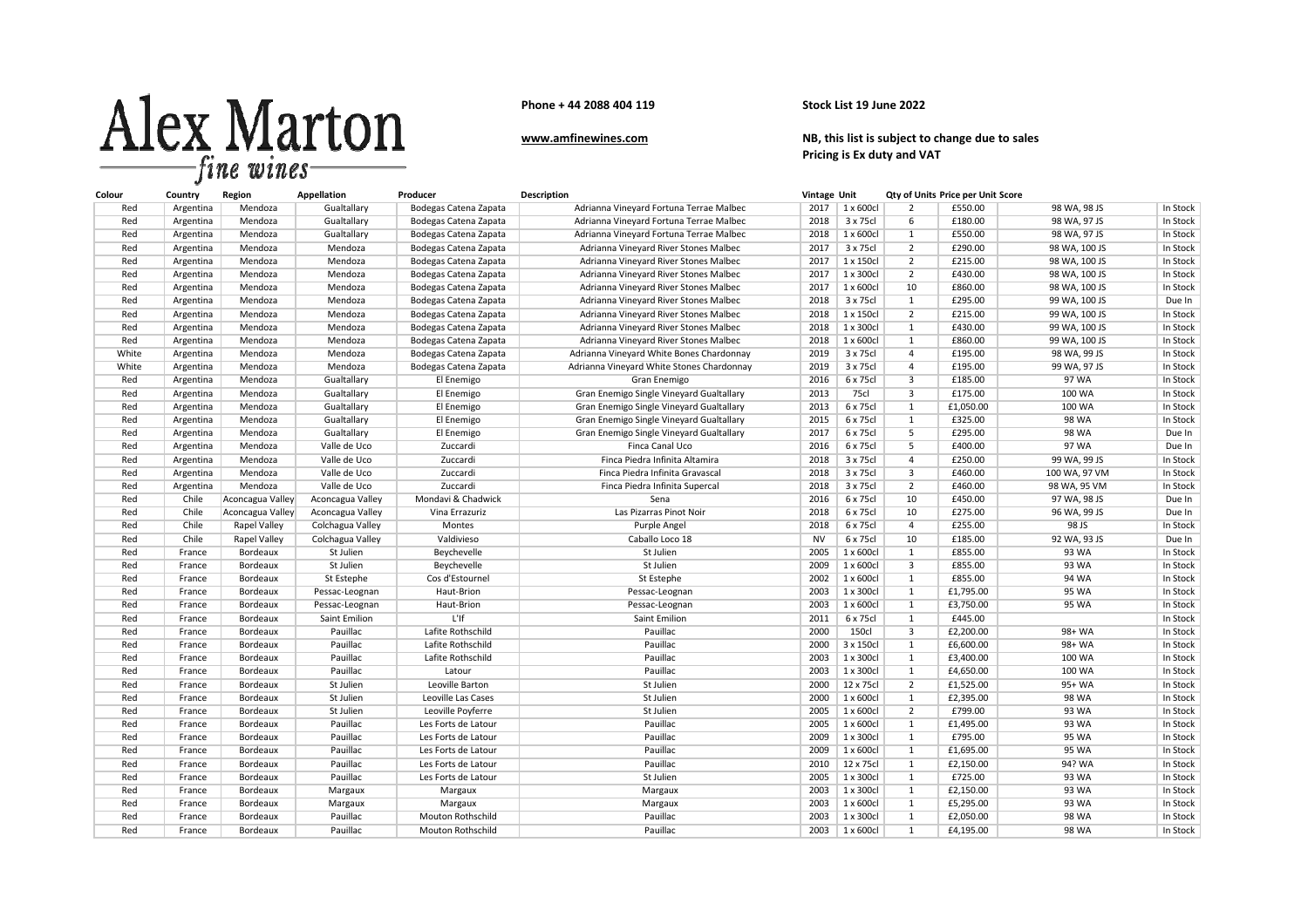

**Phone + 44 2088 404 119**

## **Stock List 19 June 2022**

## **www.amfinewines.com**

 **NB, this list is subject to change due to sales Pricing is Ex duty and VAT**

| Colour | Country   | Region              | Appellation      | Producer                 | <b>Description</b>                        | Vintage Unit |                   |                         | Qty of Units Price per Unit Score |               |          |
|--------|-----------|---------------------|------------------|--------------------------|-------------------------------------------|--------------|-------------------|-------------------------|-----------------------------------|---------------|----------|
| Red    | Argentina | Mendoza             | Gualtallary      | Bodegas Catena Zapata    | Adrianna Vineyard Fortuna Terrae Malbec   | 2017         | 1 x 600cl         | 2                       | £550.00                           | 98 WA, 98 JS  | In Stock |
| Red    | Argentina | Mendoza             | Gualtallary      | Bodegas Catena Zapata    | Adrianna Vineyard Fortuna Terrae Malbec   | 2018         | 3 x 75cl          | $6\overline{6}$         | £180.00                           | 98 WA, 97 JS  | In Stock |
| Red    | Argentina | Mendoza             | Gualtallary      | Bodegas Catena Zapata    | Adrianna Vineyard Fortuna Terrae Malbec   | 2018         | 1 x 600cl         | 1                       | £550.00                           | 98 WA, 97 JS  | In Stock |
| Red    | Argentina | Mendoza             | Mendoza          | Bodegas Catena Zapata    | Adrianna Vineyard River Stones Malbec     | 2017         | 3 x 75cl          | $\overline{2}$          | £290.00                           | 98 WA, 100 JS | In Stock |
| Red    | Argentina | Mendoza             | Mendoza          | Bodegas Catena Zapata    | Adrianna Vineyard River Stones Malbec     | 2017         | 1 x 150cl         | $\overline{2}$          | £215.00                           | 98 WA, 100 JS | In Stock |
| Red    | Argentina | Mendoza             | Mendoza          | Bodegas Catena Zapata    | Adrianna Vineyard River Stones Malbec     | 2017         | 1 x 300cl         | 2                       | £430.00                           | 98 WA, 100 JS | In Stock |
| Red    | Argentina | Mendoza             | Mendoza          | Bodegas Catena Zapata    | Adrianna Vineyard River Stones Malbec     | 2017         | 1 x 600cl         | 10                      | £860.00                           | 98 WA, 100 JS | In Stock |
| Red    | Argentina | Mendoza             | Mendoza          | Bodegas Catena Zapata    | Adrianna Vineyard River Stones Malbec     | 2018         | 3 x 75cl          | $\mathbf{1}$            | £295.00                           | 99 WA, 100 JS | Due In   |
| Red    | Argentina | Mendoza             | Mendoza          | Bodegas Catena Zapata    | Adrianna Vineyard River Stones Malbec     | 2018         | 1 x 150cl         | $\overline{2}$          | £215.00                           | 99 WA, 100 JS | In Stock |
| Red    | Argentina | Mendoza             | Mendoza          | Bodegas Catena Zapata    | Adrianna Vineyard River Stones Malbec     | 2018         | 1 x 300cl         | $\mathbf{1}$            | £430.00                           | 99 WA, 100 JS | In Stock |
| Red    | Argentina | Mendoza             | Mendoza          | Bodegas Catena Zapata    | Adrianna Vineyard River Stones Malbec     | 2018         | 1 x 600cl         | $\mathbf{1}$            | £860.00                           | 99 WA, 100 JS | In Stock |
| White  | Argentina | Mendoza             | Mendoza          | Bodegas Catena Zapata    | Adrianna Vineyard White Bones Chardonnay  | 2019         | 3 x 75cl          | $\overline{4}$          | £195.00                           | 98 WA, 99 JS  | In Stock |
| White  | Argentina | Mendoza             | Mendoza          | Bodegas Catena Zapata    | Adrianna Vineyard White Stones Chardonnay | 2019         | 3 x 75cl          | $\overline{4}$          | £195.00                           | 99 WA, 97 JS  | In Stock |
| Red    | Argentina | Mendoza             | Gualtallary      | El Enemigo               | Gran Enemigo                              | 2016         | 6 x 75cl          | $\overline{3}$          | £185.00                           | 97 WA         | In Stock |
| Red    | Argentina | Mendoza             | Gualtallary      | El Enemigo               | Gran Enemigo Single Vineyard Gualtallary  | 2013         | 75cl              | 3                       | £175.00                           | 100 WA        | In Stock |
| Red    | Argentina | Mendoza             | Gualtallary      | El Enemigo               | Gran Enemigo Single Vineyard Gualtallary  | 2013         | 6 x 75cl          | 1                       | £1,050.00                         | 100 WA        | In Stock |
| Red    | Argentina | Mendoza             | Gualtallary      | El Enemigo               | Gran Enemigo Single Vineyard Gualtallary  | 2015         | 6 x 75cl          | $\mathbf{1}$            | £325.00                           | <b>98 WA</b>  | In Stock |
| Red    | Argentina | Mendoza             | Gualtallary      | El Enemigo               | Gran Enemigo Single Vineyard Gualtallary  | 2017         | 6 x 75cl          | $\overline{5}$          | £295.00                           | 98 WA         | Due In   |
| Red    | Argentina | Mendoza             | Valle de Uco     | Zuccardi                 | Finca Canal Uco                           | 2016         | 6 x 75cl          | 5                       | £400.00                           | 97 WA         | Due In   |
| Red    | Argentina | Mendoza             | Valle de Uco     | Zuccardi                 | Finca Piedra Infinita Altamira            | 2018         | 3 x 75cl          | $\overline{4}$          | £250.00                           | 99 WA, 99 JS  | In Stock |
| Red    | Argentina | Mendoza             | Valle de Uco     | Zuccardi                 | Finca Piedra Infinita Gravascal           | 2018         | 3 x 75cl          | $\overline{3}$          | £460.00                           | 100 WA, 97 VM | In Stock |
| Red    | Argentina | Mendoza             | Valle de Uco     | Zuccardi                 | Finca Piedra Infinita Supercal            | 2018         | 3 x 75cl          | $\overline{2}$          | £460.00                           | 98 WA, 95 VM  | In Stock |
| Red    | Chile     | Aconcagua Valley    | Aconcagua Valley | Mondavi & Chadwick       | Sena                                      | 2016         | 6 x 75cl          | 10                      | £450.00                           | 97 WA, 98 JS  | Due In   |
| Red    | Chile     | Aconcagua Valley    | Aconcagua Valley | Vina Errazuriz           | Las Pizarras Pinot Noir                   | 2018         | 6 x 75cl          | 10                      | £275.00                           | 96 WA, 99 JS  | Due In   |
| Red    | Chile     | Rapel Valley        | Colchagua Valley | Montes                   | Purple Angel                              | 2018         | 6 x 75cl          | $\overline{4}$          | £255.00                           | 98 JS         | In Stock |
| Red    | Chile     | <b>Rapel Valley</b> | Colchagua Valley | Valdivieso               | Caballo Loco 18                           | <b>NV</b>    | 6 x 75cl          | 10                      | £185.00                           | 92 WA, 93 JS  | Due In   |
| Red    | France    | Bordeaux            | St Julien        | Beychevelle              | St Julien                                 | 2005         | 1 x 600cl         | $\mathbf{1}$            | £855.00                           | 93 WA         | In Stock |
| Red    | France    | Bordeaux            | St Julien        | Beychevelle              | St Julien                                 | 2009         | 1 x 600cl         | $\overline{\mathbf{3}}$ | £855.00                           | 93 WA         | In Stock |
| Red    | France    | Bordeaux            | St Estephe       | Cos d'Estournel          | St Estephe                                | 2002         | $1 \times 600$ cl | $\mathbf{1}$            | £855.00                           | 94 WA         | In Stock |
| Red    | France    | Bordeaux            | Pessac-Leognan   | Haut-Brion               | Pessac-Leognan                            | 2003         | 1 x 300cl         | $\mathbf{1}$            | £1,795.00                         | 95 WA         | In Stock |
| Red    | France    | Bordeaux            | Pessac-Leognan   | Haut-Brion               | Pessac-Leognan                            | 2003         | 1 x 600cl         | $\mathbf{1}$            | £3,750.00                         | 95 WA         | In Stock |
| Red    | France    | Bordeaux            | Saint Emilion    | L'If                     | Saint Emilion                             | 2011         | 6 x 75cl          | $\mathbf{1}$            | £445.00                           |               | In Stock |
| Red    | France    | Bordeaux            | Pauillac         | Lafite Rothschild        | Pauillac                                  | 2000         | 150cl             | $\overline{3}$          | £2,200.00                         | 98+ WA        | In Stock |
| Red    | France    | Bordeaux            | Pauillac         | Lafite Rothschild        | Pauillac                                  | 2000         | 3 x 150cl         | 1                       | £6,600.00                         | 98+ WA        | In Stock |
| Red    | France    | Bordeaux            | Pauillac         | Lafite Rothschild        | Pauillac                                  | 2003         | 1 x 300cl         | $\mathbf{1}$            | £3,400.00                         | 100 WA        | In Stock |
| Red    | France    | Bordeaux            | Pauillac         | Latour                   | Pauillac                                  | 2003         | 1 x 300cl         | 1                       | £4,650.00                         | 100 WA        | In Stock |
| Red    | France    | Bordeaux            | St Julien        | Leoville Barton          | St Julien                                 | 2000         | 12 x 75cl         | $\overline{2}$          | £1,525.00                         | 95+ WA        | In Stock |
| Red    | France    | Bordeaux            | St Julien        | Leoville Las Cases       | St Julien                                 | 2000         | 1 x 600cl         | $\mathbf{1}$            | £2,395.00                         | 98 WA         | In Stock |
| Red    | France    | Bordeaux            | St Julien        | Leoville Poyferre        | St Julien                                 | 2005         | 1 x 600cl         | $\overline{2}$          | £799.00                           | 93 WA         | In Stock |
| Red    | France    | Bordeaux            | Pauillac         | Les Forts de Latour      | Pauillac                                  | 2005         | 1 x 600cl         | 1                       | £1,495.00                         | 93 WA         | In Stock |
| Red    | France    | Bordeaux            | Pauillac         | Les Forts de Latour      | Pauillac                                  | 2009         | 1 x 300cl         | 1                       | £795.00                           | 95 WA         | In Stock |
| Red    | France    | Bordeaux            | Pauillac         | Les Forts de Latour      | Pauillac                                  | 2009         | 1 x 600cl         | $\mathbf{1}$            | £1,695.00                         | 95 WA         | In Stock |
| Red    | France    | Bordeaux            | Pauillac         | Les Forts de Latour      | Pauillac                                  | 2010         | 12 x 75cl         | 1                       | £2,150.00                         | 94? WA        | In Stock |
| Red    | France    | Bordeaux            | Pauillac         | Les Forts de Latour      | St Julien                                 | 2005         | 1 x 300cl         | $\overline{1}$          | £725.00                           | 93 WA         | In Stock |
| Red    | France    | Bordeaux            | Margaux          | Margaux                  | Margaux                                   | 2003         | 1 x 300cl         | $\mathbf{1}$            | £2,150.00                         | 93 WA         | In Stock |
| Red    | France    | Bordeaux            | Margaux          | Margaux                  | Margaux                                   | 2003         | 1 x 600cl         | 1                       | £5,295.00                         | 93 WA         | In Stock |
| Red    | France    | Bordeaux            | Pauillac         | Mouton Rothschild        | Pauillac                                  | 2003         | 1 x 300cl         | $\mathbf{1}$            | £2,050.00                         | 98 WA         | In Stock |
| Red    | France    | Bordeaux            | Pauillac         | <b>Mouton Rothschild</b> | Pauillac                                  | 2003         | 1 x 600cl         | $\mathbf{1}$            | £4,195.00                         | 98 WA         | In Stock |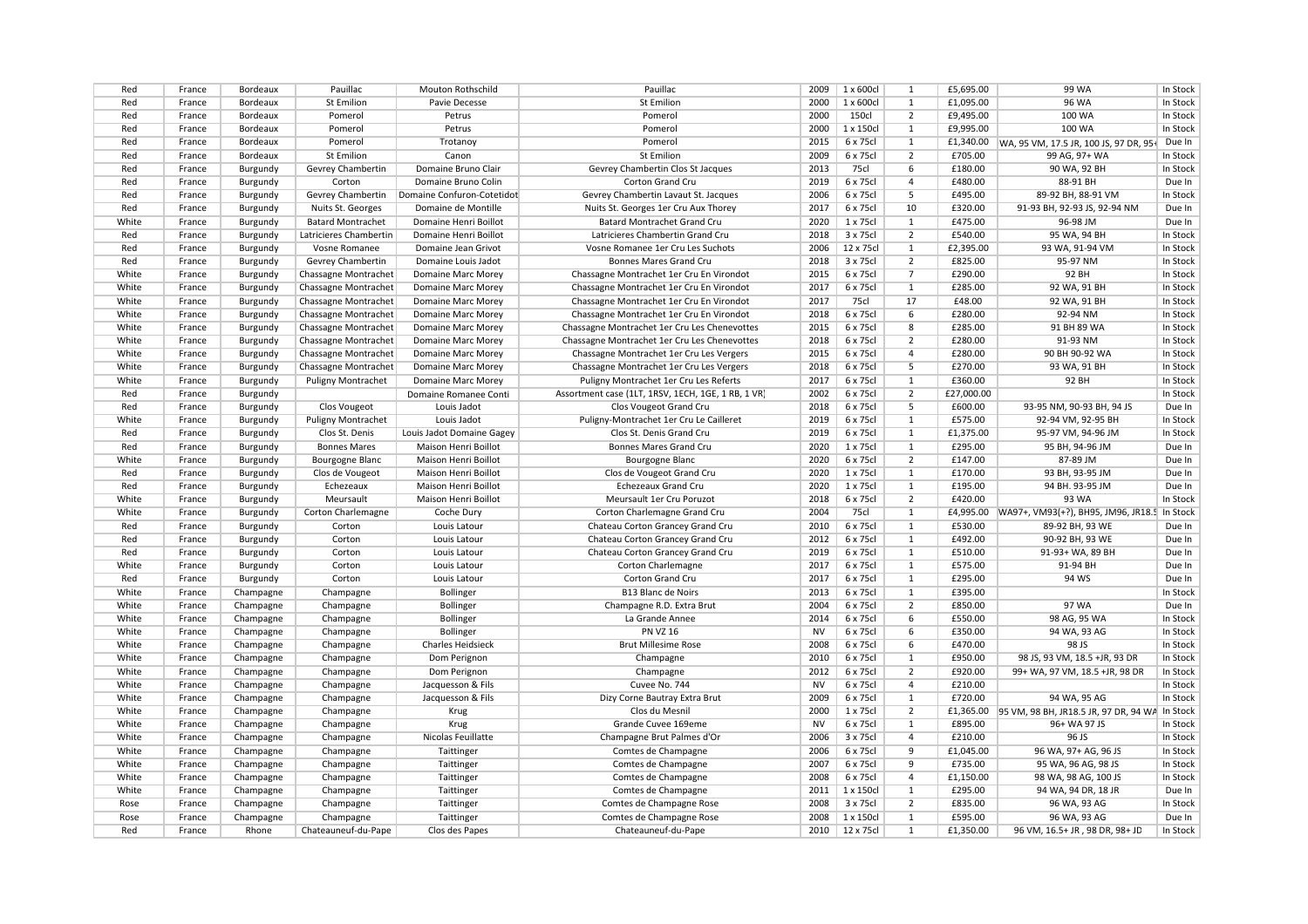| Red<br><b>St Emilion</b><br><b>St Emilion</b><br>2000<br>1 x 600cl<br>£1,095.00<br>96 WA<br>In Stock<br>France<br>Bordeaux<br>Pavie Decesse<br>1<br>Bordeaux<br>Pomerol<br>Petrus<br>Pomerol<br>2000<br><b>150cl</b><br>$\overline{2}$<br>£9,495.00<br>100 WA<br>In Stock<br>Red<br>France<br>Pomerol<br>1 x 150cl<br>£9,995.00<br>100 WA<br>In Stock<br>Red<br>France<br>Bordeaux<br>Petrus<br>Pomerol<br>2000<br>$\mathbf{1}$<br>Bordeaux<br>Pomerol<br>Pomerol<br>2015<br>6 x 75cl<br>£1,340.00<br>Due In<br>Red<br>France<br>Trotanov<br>$\mathbf{1}$<br>WA, 95 VM, 17.5 JR, 100 JS, 97 DR, 95-<br>Red<br>Bordeaux<br><b>St Emilion</b><br><b>St Emilion</b><br>2009<br>6 x 75cl<br>$\overline{2}$<br>£705.00<br>99 AG, 97+ WA<br>In Stock<br>France<br>Canon<br>Gevrey Chambertin<br>75cl<br>£180.00<br>90 WA, 92 BH<br>In Stock<br>Red<br>France<br>Burgundy<br>Domaine Bruno Clair<br>Gevrey Chambertin Clos St Jacques<br>2013<br>6<br>2019<br>6 x 75cl<br>£480.00<br>88-91 BH<br>Red<br>France<br>Corton<br>Domaine Bruno Colin<br>Corton Grand Cru<br>$\overline{a}$<br>Due In<br>Burgundy<br>6 x 75cl<br>5<br>£495.00<br>In Stock<br>Red<br>Burgundy<br>Gevrey Chambertin<br>Domaine Confuron-Cotetidot<br>Gevrey Chambertin Lavaut St. Jacques<br>2006<br>89-92 BH, 88-91 VM<br>France<br>Red<br>Domaine de Montille<br>Nuits St. Georges 1er Cru Aux Thorey<br>2017<br>6 x 75cl<br>10<br>£320.00<br>91-93 BH, 92-93 JS, 92-94 NM<br>Due In<br>France<br>Burgundy<br>Nuits St. Georges<br>1 x 75cl<br>£475.00<br>Due In<br>White<br>France<br>Burgundy<br><b>Batard Montrachet</b><br>Domaine Henri Boillot<br>Batard Montrachet Grand Cru<br>2020<br>1<br>96-98 JM<br>2018<br>3 x 75cl<br>$\overline{2}$<br>£540.00<br>95 WA, 94 BH<br>In Stock<br>Red<br>France<br>Burgundy<br>Latricieres Chambertin<br>Domaine Henri Boillot<br>Latricieres Chambertin Grand Cru<br>12 x 75cl<br>Red<br>Vosne Romanee<br>Vosne Romanee 1er Cru Les Suchots<br>2006<br>£2,395.00<br>93 WA, 91-94 VM<br>In Stock<br>France<br>Burgundy<br>Domaine Jean Grivot<br>$\mathbf{1}$<br>2018<br>3 x 75cl<br>£825.00<br>95-97 NM<br>In Stock<br>Red<br>France<br>Burgundy<br>Gevrey Chambertin<br>Domaine Louis Jadot<br>Bonnes Mares Grand Cru<br>2<br>White<br>2015<br>6 x 75cl<br>£290.00<br>92 BH<br>In Stock<br>France<br>Chassagne Montrachet<br>Domaine Marc Morey<br>Chassagne Montrachet 1er Cru En Virondot<br>$\overline{7}$<br>Burgundy<br>White<br>2017<br>6 x 75cl<br>£285.00<br>92 WA, 91 BH<br>In Stock<br>France<br>Burgundy<br>Chassagne Montrachet<br>Domaine Marc Morey<br>Chassagne Montrachet 1er Cru En Virondot<br>$\mathbf{1}$<br>75cl<br>17<br>92 WA, 91 BH<br>In Stock<br>White<br>Chassagne Montrachet<br>Chassagne Montrachet 1er Cru En Virondot<br>2017<br>£48.00<br>France<br>Burgundy<br>Domaine Marc Morey<br>6 x 75cl<br>White<br>2018<br>£280.00<br>92-94 NM<br>In Stock<br>France<br>Burgundy<br>Chassagne Montrachet<br>Domaine Marc Morey<br>Chassagne Montrachet 1er Cru En Virondot<br>6<br>White<br>2015<br>6 x 75cl<br>£285.00<br>91 BH 89 WA<br>In Stock<br>France<br>Burgundy<br>Chassagne Montrachet<br>Domaine Marc Morey<br>Chassagne Montrachet 1er Cru Les Chenevottes<br>8<br>White<br>2018<br>6 x 75cl<br>$\overline{2}$<br>£280.00<br>91-93 NM<br>In Stock<br>France<br>Burgundy<br>Chassagne Montrachet<br>Domaine Marc Morey<br>Chassagne Montrachet 1er Cru Les Chenevottes<br>2015<br>6 x 75cl<br>£280.00<br>In Stock<br>White<br>Chassagne Montrachet<br>Chassagne Montrachet 1er Cru Les Vergers<br>90 BH 90-92 WA<br>France<br>Burgundy<br>Domaine Marc Morey<br>4<br>6 x 75cl<br>In Stock<br>White<br>2018<br>5<br>£270.00<br>93 WA, 91 BH<br>France<br>Burgundy<br>Chassagne Montrachet<br>Domaine Marc Morey<br>Chassagne Montrachet 1er Cru Les Vergers<br>White<br>Puligny Montrachet 1er Cru Les Referts<br>2017<br>6 x 75cl<br>£360.00<br>92 BH<br>In Stock<br>France<br>Burgundy<br><b>Puligny Montrachet</b><br>Domaine Marc Morey<br>$\mathbf{1}$<br>Red<br>Assortment case (1LT, 1RSV, 1ECH, 1GE, 1 RB, 1 VR)<br>2002<br>6 x 75cl<br>$\overline{2}$<br>£27,000.00<br>In Stock<br>France<br>Burgundy<br>Domaine Romanee Conti<br>2018<br>6 x 75cl<br>£600.00<br>93-95 NM, 90-93 BH, 94 JS<br>Due In<br>Red<br>Burgundy<br>Louis Jadot<br>Clos Vougeot Grand Cru<br>5<br>France<br>Clos Vougeot<br><b>Puligny Montrachet</b><br>2019<br>6 x 75cl<br>£575.00<br>92-94 VM, 92-95 BH<br>In Stock<br>White<br>France<br>Burgundy<br>Louis Jadot<br>Puligny-Montrachet 1er Cru Le Cailleret<br>1<br>Red<br>Clos St. Denis Grand Cru<br>2019<br>6 x 75cl<br>$\mathbf{1}$<br>£1,375.00<br>95-97 VM, 94-96 JM<br>In Stock<br>France<br>Burgundy<br>Clos St. Denis<br>Louis Jadot Domaine Gagey<br>Bonnes Mares Grand Cru<br>2020<br>1 x 75cl<br>£295.00<br>95 BH, 94-96 JM<br>Due In<br>Red<br>France<br>Burgundy<br><b>Bonnes Mares</b><br>Maison Henri Boillot<br>1<br>2020<br>6 x 75cl<br>$\overline{2}$<br>£147.00<br>White<br>France<br>Burgundy<br>Bourgogne Blanc<br>Maison Henri Boillot<br>Bourgogne Blanc<br>87-89 JM<br>Due In<br>1 x 75cl<br>Red<br>Maison Henri Boillot<br>Clos de Vougeot Grand Cru<br>2020<br>£170.00<br>93 BH, 93-95 JM<br>Due In<br>France<br>Burgundy<br>Clos de Vougeot<br>1<br>Red<br>Echezeaux<br>Maison Henri Boillot<br><b>Echezeaux Grand Cru</b><br>2020<br>1 x 75cl<br>£195.00<br>94 BH. 93-95 JM<br>Due In<br>France<br>Burgundy<br>1<br>White<br>Meursault 1er Cru Poruzot<br>2018<br>6 x 75cl<br>$\overline{2}$<br>£420.00<br>93 WA<br>In Stock<br>France<br>Burgundy<br>Meursault<br>Maison Henri Boillot<br>2004<br>75cl<br>£4,995.00 WA97+, VM93(+?), BH95, JM96, JR18.5 In Stock<br>White<br>France<br>Burgundy<br>Corton Charlemagne<br>Coche Dury<br>Corton Charlemagne Grand Cru<br>$\mathbf{1}$<br>Red<br>Corton<br>Chateau Corton Grancey Grand Cru<br>2010<br>6 x 75cl<br>£530.00<br>89-92 BH, 93 WE<br>Due In<br>France<br>Burgundy<br>Louis Latour<br>1<br>6 x 75cl<br>£492.00<br>Red<br>Corton<br>Louis Latour<br>Chateau Corton Grancey Grand Cru<br>2012<br>$\mathbf{1}$<br>90-92 BH, 93 WE<br>Due In<br>France<br>Burgundy<br>Corton<br>Chateau Corton Grancey Grand Cru<br>2019<br>6 x 75cl<br>£510.00<br>91-93+ WA, 89 BH<br>Red<br>France<br>Burgundy<br>Louis Latour<br>$\mathbf{1}$<br>Due In<br>Corton<br>2017<br>6 x 75cl<br>£575.00<br>91-94 BH<br>White<br>France<br>Burgundy<br>Louis Latour<br>Corton Charlemagne<br>$\mathbf{1}$<br>Due In<br>Corton<br>6 x 75cl<br>£295.00<br>94 WS<br>Due In<br>Red<br>Burgundy<br>Louis Latour<br>Corton Grand Cru<br>2017<br>$\mathbf{1}$<br>France<br>6 x 75cl<br>White<br>Champagne<br><b>Bollinger</b><br><b>B13 Blanc de Noirs</b><br>2013<br>£395.00<br>In Stock<br>France<br>Champagne<br>$\mathbf{1}$<br>White<br>Bollinger<br>Champagne R.D. Extra Brut<br>2004<br>6 x 75cl<br>$\overline{2}$<br>£850.00<br>97 WA<br>Due In<br>France<br>Champagne<br>Champagne<br>La Grande Annee<br>2014<br>6 x 75cl<br>£550.00<br>98 AG, 95 WA<br>In Stock<br>White<br>France<br>Champagne<br>Champagne<br>Bollinger<br>6<br><b>PN VZ 16</b><br>94 WA, 93 AG<br>White<br>France<br>Champagne<br>Champagne<br>Bollinger<br><b>NV</b><br>6 x 75cl<br>£350.00<br>In Stock<br>6<br>6 x 75cl<br>98 JS<br>In Stock<br>White<br>Champagne<br>Champagne<br><b>Charles Heidsieck</b><br><b>Brut Millesime Rose</b><br>2008<br>6<br>£470.00<br>France<br>White<br>Dom Perignon<br>2010<br>6 x 75cl<br>£950.00<br>98 JS, 93 VM, 18.5 +JR, 93 DR<br>In Stock<br>France<br>Champagne<br>Champagne<br>Champagne<br>$\mathbf{1}$<br>White<br>2012<br>6 x 75cl<br>$\overline{2}$<br>£920.00<br>99+ WA, 97 VM, 18.5 +JR, 98 DR<br>In Stock<br>France<br>Champagne<br>Champagne<br>Dom Perignon<br>Champagne<br><b>NV</b><br>6 x 75cl<br>In Stock<br>White<br>Champagne<br>Jacquesson & Fils<br>Cuvee No. 744<br>$\overline{a}$<br>£210.00<br>France<br>Champagne<br>In Stock<br>White<br>Jacquesson & Fils<br>Dizy Corne Bautray Extra Brut<br>2009<br>6 x 75cl<br>£720.00<br>94 WA, 95 AG<br>France<br>Champagne<br>Champagne<br>$\mathbf{1}$<br>White<br>Clos du Mesnil<br>2000<br>1 x 75cl<br>$\overline{2}$<br>95 VM, 98 BH, JR18.5 JR, 97 DR, 94 WA In Stock<br>France<br>Champagne<br>Champagne<br>Krug<br>£1,365.00<br>White<br>Grande Cuvee 169eme<br><b>NV</b><br>6 x 75cl<br>£895.00<br>96+ WA 97 JS<br>In Stock<br>France<br>Champagne<br>Champagne<br>Krug<br>1<br>2006<br>3 x 75cl<br>£210.00<br>96 JS<br>In Stock<br>White<br>France<br>Champagne<br>Nicolas Feuillatte<br>Champagne Brut Palmes d'Or<br>$\overline{a}$<br>Champagne<br>6 x 75cl<br>9<br>96 WA, 97+ AG, 96 JS<br>In Stock<br>White<br>Taittinger<br>Comtes de Champagne<br>2006<br>£1,045.00<br>France<br>Champagne<br>Champagne<br>White<br>Taittinger<br>Comtes de Champagne<br>2007<br>6 x 75cl<br>9<br>£735.00<br>95 WA, 96 AG, 98 JS<br>In Stock<br>France<br>Champagne<br>Champagne<br>White<br>2008<br>6 x 75cl<br>$\overline{a}$<br>£1,150.00<br>98 WA, 98 AG, 100 JS<br>In Stock<br>France<br>Champagne<br>Champagne<br>Taittinger<br>Comtes de Champagne<br>1 x 150cl<br>£295.00<br>94 WA, 94 DR, 18 JR<br>Due In<br>White<br>Champagne<br>Champagne<br>Taittinger<br>Comtes de Champagne<br>2011<br>$\overline{1}$<br>France<br>Rose<br>Taittinger<br>Comtes de Champagne Rose<br>2008<br>3 x 75cl<br>$\overline{2}$<br>£835.00<br>96 WA, 93 AG<br>In Stock<br>France<br>Champagne<br>Champagne<br>Rose<br>Champagne<br>Taittinger<br>Comtes de Champagne Rose<br>2008<br>1 x 150cl<br>$\mathbf{1}$<br>£595.00<br>96 WA, 93 AG<br>Due In<br>France<br>Champagne<br>12 x 75cl<br>£1,350.00<br>Red<br>Rhone<br>Clos des Papes<br>Chateauneuf-du-Pape<br>2010<br>$\mathbf{1}$<br>96 VM, 16.5+ JR, 98 DR, 98+ JD<br>In Stock<br>France<br>Chateauneuf-du-Pape | Red | France | Bordeaux | Pauillac | Mouton Rothschild | Pauillac | 2009 | 1 x 600cl | 1 | £5,695.00 | 99 WA | In Stock |
|----------------------------------------------------------------------------------------------------------------------------------------------------------------------------------------------------------------------------------------------------------------------------------------------------------------------------------------------------------------------------------------------------------------------------------------------------------------------------------------------------------------------------------------------------------------------------------------------------------------------------------------------------------------------------------------------------------------------------------------------------------------------------------------------------------------------------------------------------------------------------------------------------------------------------------------------------------------------------------------------------------------------------------------------------------------------------------------------------------------------------------------------------------------------------------------------------------------------------------------------------------------------------------------------------------------------------------------------------------------------------------------------------------------------------------------------------------------------------------------------------------------------------------------------------------------------------------------------------------------------------------------------------------------------------------------------------------------------------------------------------------------------------------------------------------------------------------------------------------------------------------------------------------------------------------------------------------------------------------------------------------------------------------------------------------------------------------------------------------------------------------------------------------------------------------------------------------------------------------------------------------------------------------------------------------------------------------------------------------------------------------------------------------------------------------------------------------------------------------------------------------------------------------------------------------------------------------------------------------------------------------------------------------------------------------------------------------------------------------------------------------------------------------------------------------------------------------------------------------------------------------------------------------------------------------------------------------------------------------------------------------------------------------------------------------------------------------------------------------------------------------------------------------------------------------------------------------------------------------------------------------------------------------------------------------------------------------------------------------------------------------------------------------------------------------------------------------------------------------------------------------------------------------------------------------------------------------------------------------------------------------------------------------------------------------------------------------------------------------------------------------------------------------------------------------------------------------------------------------------------------------------------------------------------------------------------------------------------------------------------------------------------------------------------------------------------------------------------------------------------------------------------------------------------------------------------------------------------------------------------------------------------------------------------------------------------------------------------------------------------------------------------------------------------------------------------------------------------------------------------------------------------------------------------------------------------------------------------------------------------------------------------------------------------------------------------------------------------------------------------------------------------------------------------------------------------------------------------------------------------------------------------------------------------------------------------------------------------------------------------------------------------------------------------------------------------------------------------------------------------------------------------------------------------------------------------------------------------------------------------------------------------------------------------------------------------------------------------------------------------------------------------------------------------------------------------------------------------------------------------------------------------------------------------------------------------------------------------------------------------------------------------------------------------------------------------------------------------------------------------------------------------------------------------------------------------------------------------------------------------------------------------------------------------------------------------------------------------------------------------------------------------------------------------------------------------------------------------------------------------------------------------------------------------------------------------------------------------------------------------------------------------------------------------------------------------------------------------------------------------------------------------------------------------------------------------------------------------------------------------------------------------------------------------------------------------------------------------------------------------------------------------------------------------------------------------------------------------------------------------------------------------------------------------------------------------------------------------------------------------------------------------------------------------------------------------------------------------------------------------------------------------------------------------------------------------------------------------------------------------------------------------------------------------------------------------------------------------------------------------------------------------------------------------------------------------------------------------------------------------------------------------------------------------------------------------------------------------------------------------------------------------------------------------------------------------------------------------------------------------------------------------------------------------------------------------------------------------------------------------------------------------------------------------------------------------------------------------------------------------------------------------------------------------------------------------------------------------------------------------------------------------------------------------------------------------------------------------------------------------------------------------------------------------------------------------------------------------------------------------------------------------------------------------------------------------------------------------------------------------------------------------------------------------------------------------------------------------------------------------------------------------------------------------------------------------------------------------------------------------------------------------------------------------------------------------------------------------------------------------------------------------------------------------------------------------------------------------------------------------------------------------------------------------------------------------------------------------------------------------------------------------------------------------------------------------------------------------------------------------------------------------------------------------------------------------------------------------------------------------------------------------------------------------------------------------------------------------------------------------------------------------------------------------------------------------------------------------------------------------------------------------------------------------------------------------------------------------------------------------------------------------------------------------------------------------------------------------------------------------------------------------------------------------|-----|--------|----------|----------|-------------------|----------|------|-----------|---|-----------|-------|----------|
|                                                                                                                                                                                                                                                                                                                                                                                                                                                                                                                                                                                                                                                                                                                                                                                                                                                                                                                                                                                                                                                                                                                                                                                                                                                                                                                                                                                                                                                                                                                                                                                                                                                                                                                                                                                                                                                                                                                                                                                                                                                                                                                                                                                                                                                                                                                                                                                                                                                                                                                                                                                                                                                                                                                                                                                                                                                                                                                                                                                                                                                                                                                                                                                                                                                                                                                                                                                                                                                                                                                                                                                                                                                                                                                                                                                                                                                                                                                                                                                                                                                                                                                                                                                                                                                                                                                                                                                                                                                                                                                                                                                                                                                                                                                                                                                                                                                                                                                                                                                                                                                                                                                                                                                                                                                                                                                                                                                                                                                                                                                                                                                                                                                                                                                                                                                                                                                                                                                                                                                                                                                                                                                                                                                                                                                                                                                                                                                                                                                                                                                                                                                                                                                                                                                                                                                                                                                                                                                                                                                                                                                                                                                                                                                                                                                                                                                                                                                                                                                                                                                                                                                                                                                                                                                                                                                                                                                                                                                                                                                                                                                                                                                                                                                                                                                                                                                                                                                                                                                                                                                                                                                                                                                                                                                                                                                                                                                                                                                                                                                                                                                                                                                                                                                                                                                                                                                                                                                                                                                                                                                                                                                                                                                                                                                                                                                              |     |        |          |          |                   |          |      |           |   |           |       |          |
|                                                                                                                                                                                                                                                                                                                                                                                                                                                                                                                                                                                                                                                                                                                                                                                                                                                                                                                                                                                                                                                                                                                                                                                                                                                                                                                                                                                                                                                                                                                                                                                                                                                                                                                                                                                                                                                                                                                                                                                                                                                                                                                                                                                                                                                                                                                                                                                                                                                                                                                                                                                                                                                                                                                                                                                                                                                                                                                                                                                                                                                                                                                                                                                                                                                                                                                                                                                                                                                                                                                                                                                                                                                                                                                                                                                                                                                                                                                                                                                                                                                                                                                                                                                                                                                                                                                                                                                                                                                                                                                                                                                                                                                                                                                                                                                                                                                                                                                                                                                                                                                                                                                                                                                                                                                                                                                                                                                                                                                                                                                                                                                                                                                                                                                                                                                                                                                                                                                                                                                                                                                                                                                                                                                                                                                                                                                                                                                                                                                                                                                                                                                                                                                                                                                                                                                                                                                                                                                                                                                                                                                                                                                                                                                                                                                                                                                                                                                                                                                                                                                                                                                                                                                                                                                                                                                                                                                                                                                                                                                                                                                                                                                                                                                                                                                                                                                                                                                                                                                                                                                                                                                                                                                                                                                                                                                                                                                                                                                                                                                                                                                                                                                                                                                                                                                                                                                                                                                                                                                                                                                                                                                                                                                                                                                                                                                              |     |        |          |          |                   |          |      |           |   |           |       |          |
|                                                                                                                                                                                                                                                                                                                                                                                                                                                                                                                                                                                                                                                                                                                                                                                                                                                                                                                                                                                                                                                                                                                                                                                                                                                                                                                                                                                                                                                                                                                                                                                                                                                                                                                                                                                                                                                                                                                                                                                                                                                                                                                                                                                                                                                                                                                                                                                                                                                                                                                                                                                                                                                                                                                                                                                                                                                                                                                                                                                                                                                                                                                                                                                                                                                                                                                                                                                                                                                                                                                                                                                                                                                                                                                                                                                                                                                                                                                                                                                                                                                                                                                                                                                                                                                                                                                                                                                                                                                                                                                                                                                                                                                                                                                                                                                                                                                                                                                                                                                                                                                                                                                                                                                                                                                                                                                                                                                                                                                                                                                                                                                                                                                                                                                                                                                                                                                                                                                                                                                                                                                                                                                                                                                                                                                                                                                                                                                                                                                                                                                                                                                                                                                                                                                                                                                                                                                                                                                                                                                                                                                                                                                                                                                                                                                                                                                                                                                                                                                                                                                                                                                                                                                                                                                                                                                                                                                                                                                                                                                                                                                                                                                                                                                                                                                                                                                                                                                                                                                                                                                                                                                                                                                                                                                                                                                                                                                                                                                                                                                                                                                                                                                                                                                                                                                                                                                                                                                                                                                                                                                                                                                                                                                                                                                                                                                              |     |        |          |          |                   |          |      |           |   |           |       |          |
|                                                                                                                                                                                                                                                                                                                                                                                                                                                                                                                                                                                                                                                                                                                                                                                                                                                                                                                                                                                                                                                                                                                                                                                                                                                                                                                                                                                                                                                                                                                                                                                                                                                                                                                                                                                                                                                                                                                                                                                                                                                                                                                                                                                                                                                                                                                                                                                                                                                                                                                                                                                                                                                                                                                                                                                                                                                                                                                                                                                                                                                                                                                                                                                                                                                                                                                                                                                                                                                                                                                                                                                                                                                                                                                                                                                                                                                                                                                                                                                                                                                                                                                                                                                                                                                                                                                                                                                                                                                                                                                                                                                                                                                                                                                                                                                                                                                                                                                                                                                                                                                                                                                                                                                                                                                                                                                                                                                                                                                                                                                                                                                                                                                                                                                                                                                                                                                                                                                                                                                                                                                                                                                                                                                                                                                                                                                                                                                                                                                                                                                                                                                                                                                                                                                                                                                                                                                                                                                                                                                                                                                                                                                                                                                                                                                                                                                                                                                                                                                                                                                                                                                                                                                                                                                                                                                                                                                                                                                                                                                                                                                                                                                                                                                                                                                                                                                                                                                                                                                                                                                                                                                                                                                                                                                                                                                                                                                                                                                                                                                                                                                                                                                                                                                                                                                                                                                                                                                                                                                                                                                                                                                                                                                                                                                                                                                              |     |        |          |          |                   |          |      |           |   |           |       |          |
|                                                                                                                                                                                                                                                                                                                                                                                                                                                                                                                                                                                                                                                                                                                                                                                                                                                                                                                                                                                                                                                                                                                                                                                                                                                                                                                                                                                                                                                                                                                                                                                                                                                                                                                                                                                                                                                                                                                                                                                                                                                                                                                                                                                                                                                                                                                                                                                                                                                                                                                                                                                                                                                                                                                                                                                                                                                                                                                                                                                                                                                                                                                                                                                                                                                                                                                                                                                                                                                                                                                                                                                                                                                                                                                                                                                                                                                                                                                                                                                                                                                                                                                                                                                                                                                                                                                                                                                                                                                                                                                                                                                                                                                                                                                                                                                                                                                                                                                                                                                                                                                                                                                                                                                                                                                                                                                                                                                                                                                                                                                                                                                                                                                                                                                                                                                                                                                                                                                                                                                                                                                                                                                                                                                                                                                                                                                                                                                                                                                                                                                                                                                                                                                                                                                                                                                                                                                                                                                                                                                                                                                                                                                                                                                                                                                                                                                                                                                                                                                                                                                                                                                                                                                                                                                                                                                                                                                                                                                                                                                                                                                                                                                                                                                                                                                                                                                                                                                                                                                                                                                                                                                                                                                                                                                                                                                                                                                                                                                                                                                                                                                                                                                                                                                                                                                                                                                                                                                                                                                                                                                                                                                                                                                                                                                                                                                              |     |        |          |          |                   |          |      |           |   |           |       |          |
|                                                                                                                                                                                                                                                                                                                                                                                                                                                                                                                                                                                                                                                                                                                                                                                                                                                                                                                                                                                                                                                                                                                                                                                                                                                                                                                                                                                                                                                                                                                                                                                                                                                                                                                                                                                                                                                                                                                                                                                                                                                                                                                                                                                                                                                                                                                                                                                                                                                                                                                                                                                                                                                                                                                                                                                                                                                                                                                                                                                                                                                                                                                                                                                                                                                                                                                                                                                                                                                                                                                                                                                                                                                                                                                                                                                                                                                                                                                                                                                                                                                                                                                                                                                                                                                                                                                                                                                                                                                                                                                                                                                                                                                                                                                                                                                                                                                                                                                                                                                                                                                                                                                                                                                                                                                                                                                                                                                                                                                                                                                                                                                                                                                                                                                                                                                                                                                                                                                                                                                                                                                                                                                                                                                                                                                                                                                                                                                                                                                                                                                                                                                                                                                                                                                                                                                                                                                                                                                                                                                                                                                                                                                                                                                                                                                                                                                                                                                                                                                                                                                                                                                                                                                                                                                                                                                                                                                                                                                                                                                                                                                                                                                                                                                                                                                                                                                                                                                                                                                                                                                                                                                                                                                                                                                                                                                                                                                                                                                                                                                                                                                                                                                                                                                                                                                                                                                                                                                                                                                                                                                                                                                                                                                                                                                                                                                              |     |        |          |          |                   |          |      |           |   |           |       |          |
|                                                                                                                                                                                                                                                                                                                                                                                                                                                                                                                                                                                                                                                                                                                                                                                                                                                                                                                                                                                                                                                                                                                                                                                                                                                                                                                                                                                                                                                                                                                                                                                                                                                                                                                                                                                                                                                                                                                                                                                                                                                                                                                                                                                                                                                                                                                                                                                                                                                                                                                                                                                                                                                                                                                                                                                                                                                                                                                                                                                                                                                                                                                                                                                                                                                                                                                                                                                                                                                                                                                                                                                                                                                                                                                                                                                                                                                                                                                                                                                                                                                                                                                                                                                                                                                                                                                                                                                                                                                                                                                                                                                                                                                                                                                                                                                                                                                                                                                                                                                                                                                                                                                                                                                                                                                                                                                                                                                                                                                                                                                                                                                                                                                                                                                                                                                                                                                                                                                                                                                                                                                                                                                                                                                                                                                                                                                                                                                                                                                                                                                                                                                                                                                                                                                                                                                                                                                                                                                                                                                                                                                                                                                                                                                                                                                                                                                                                                                                                                                                                                                                                                                                                                                                                                                                                                                                                                                                                                                                                                                                                                                                                                                                                                                                                                                                                                                                                                                                                                                                                                                                                                                                                                                                                                                                                                                                                                                                                                                                                                                                                                                                                                                                                                                                                                                                                                                                                                                                                                                                                                                                                                                                                                                                                                                                                                                              |     |        |          |          |                   |          |      |           |   |           |       |          |
|                                                                                                                                                                                                                                                                                                                                                                                                                                                                                                                                                                                                                                                                                                                                                                                                                                                                                                                                                                                                                                                                                                                                                                                                                                                                                                                                                                                                                                                                                                                                                                                                                                                                                                                                                                                                                                                                                                                                                                                                                                                                                                                                                                                                                                                                                                                                                                                                                                                                                                                                                                                                                                                                                                                                                                                                                                                                                                                                                                                                                                                                                                                                                                                                                                                                                                                                                                                                                                                                                                                                                                                                                                                                                                                                                                                                                                                                                                                                                                                                                                                                                                                                                                                                                                                                                                                                                                                                                                                                                                                                                                                                                                                                                                                                                                                                                                                                                                                                                                                                                                                                                                                                                                                                                                                                                                                                                                                                                                                                                                                                                                                                                                                                                                                                                                                                                                                                                                                                                                                                                                                                                                                                                                                                                                                                                                                                                                                                                                                                                                                                                                                                                                                                                                                                                                                                                                                                                                                                                                                                                                                                                                                                                                                                                                                                                                                                                                                                                                                                                                                                                                                                                                                                                                                                                                                                                                                                                                                                                                                                                                                                                                                                                                                                                                                                                                                                                                                                                                                                                                                                                                                                                                                                                                                                                                                                                                                                                                                                                                                                                                                                                                                                                                                                                                                                                                                                                                                                                                                                                                                                                                                                                                                                                                                                                                                              |     |        |          |          |                   |          |      |           |   |           |       |          |
|                                                                                                                                                                                                                                                                                                                                                                                                                                                                                                                                                                                                                                                                                                                                                                                                                                                                                                                                                                                                                                                                                                                                                                                                                                                                                                                                                                                                                                                                                                                                                                                                                                                                                                                                                                                                                                                                                                                                                                                                                                                                                                                                                                                                                                                                                                                                                                                                                                                                                                                                                                                                                                                                                                                                                                                                                                                                                                                                                                                                                                                                                                                                                                                                                                                                                                                                                                                                                                                                                                                                                                                                                                                                                                                                                                                                                                                                                                                                                                                                                                                                                                                                                                                                                                                                                                                                                                                                                                                                                                                                                                                                                                                                                                                                                                                                                                                                                                                                                                                                                                                                                                                                                                                                                                                                                                                                                                                                                                                                                                                                                                                                                                                                                                                                                                                                                                                                                                                                                                                                                                                                                                                                                                                                                                                                                                                                                                                                                                                                                                                                                                                                                                                                                                                                                                                                                                                                                                                                                                                                                                                                                                                                                                                                                                                                                                                                                                                                                                                                                                                                                                                                                                                                                                                                                                                                                                                                                                                                                                                                                                                                                                                                                                                                                                                                                                                                                                                                                                                                                                                                                                                                                                                                                                                                                                                                                                                                                                                                                                                                                                                                                                                                                                                                                                                                                                                                                                                                                                                                                                                                                                                                                                                                                                                                                                                              |     |        |          |          |                   |          |      |           |   |           |       |          |
|                                                                                                                                                                                                                                                                                                                                                                                                                                                                                                                                                                                                                                                                                                                                                                                                                                                                                                                                                                                                                                                                                                                                                                                                                                                                                                                                                                                                                                                                                                                                                                                                                                                                                                                                                                                                                                                                                                                                                                                                                                                                                                                                                                                                                                                                                                                                                                                                                                                                                                                                                                                                                                                                                                                                                                                                                                                                                                                                                                                                                                                                                                                                                                                                                                                                                                                                                                                                                                                                                                                                                                                                                                                                                                                                                                                                                                                                                                                                                                                                                                                                                                                                                                                                                                                                                                                                                                                                                                                                                                                                                                                                                                                                                                                                                                                                                                                                                                                                                                                                                                                                                                                                                                                                                                                                                                                                                                                                                                                                                                                                                                                                                                                                                                                                                                                                                                                                                                                                                                                                                                                                                                                                                                                                                                                                                                                                                                                                                                                                                                                                                                                                                                                                                                                                                                                                                                                                                                                                                                                                                                                                                                                                                                                                                                                                                                                                                                                                                                                                                                                                                                                                                                                                                                                                                                                                                                                                                                                                                                                                                                                                                                                                                                                                                                                                                                                                                                                                                                                                                                                                                                                                                                                                                                                                                                                                                                                                                                                                                                                                                                                                                                                                                                                                                                                                                                                                                                                                                                                                                                                                                                                                                                                                                                                                                                                              |     |        |          |          |                   |          |      |           |   |           |       |          |
|                                                                                                                                                                                                                                                                                                                                                                                                                                                                                                                                                                                                                                                                                                                                                                                                                                                                                                                                                                                                                                                                                                                                                                                                                                                                                                                                                                                                                                                                                                                                                                                                                                                                                                                                                                                                                                                                                                                                                                                                                                                                                                                                                                                                                                                                                                                                                                                                                                                                                                                                                                                                                                                                                                                                                                                                                                                                                                                                                                                                                                                                                                                                                                                                                                                                                                                                                                                                                                                                                                                                                                                                                                                                                                                                                                                                                                                                                                                                                                                                                                                                                                                                                                                                                                                                                                                                                                                                                                                                                                                                                                                                                                                                                                                                                                                                                                                                                                                                                                                                                                                                                                                                                                                                                                                                                                                                                                                                                                                                                                                                                                                                                                                                                                                                                                                                                                                                                                                                                                                                                                                                                                                                                                                                                                                                                                                                                                                                                                                                                                                                                                                                                                                                                                                                                                                                                                                                                                                                                                                                                                                                                                                                                                                                                                                                                                                                                                                                                                                                                                                                                                                                                                                                                                                                                                                                                                                                                                                                                                                                                                                                                                                                                                                                                                                                                                                                                                                                                                                                                                                                                                                                                                                                                                                                                                                                                                                                                                                                                                                                                                                                                                                                                                                                                                                                                                                                                                                                                                                                                                                                                                                                                                                                                                                                                                                              |     |        |          |          |                   |          |      |           |   |           |       |          |
|                                                                                                                                                                                                                                                                                                                                                                                                                                                                                                                                                                                                                                                                                                                                                                                                                                                                                                                                                                                                                                                                                                                                                                                                                                                                                                                                                                                                                                                                                                                                                                                                                                                                                                                                                                                                                                                                                                                                                                                                                                                                                                                                                                                                                                                                                                                                                                                                                                                                                                                                                                                                                                                                                                                                                                                                                                                                                                                                                                                                                                                                                                                                                                                                                                                                                                                                                                                                                                                                                                                                                                                                                                                                                                                                                                                                                                                                                                                                                                                                                                                                                                                                                                                                                                                                                                                                                                                                                                                                                                                                                                                                                                                                                                                                                                                                                                                                                                                                                                                                                                                                                                                                                                                                                                                                                                                                                                                                                                                                                                                                                                                                                                                                                                                                                                                                                                                                                                                                                                                                                                                                                                                                                                                                                                                                                                                                                                                                                                                                                                                                                                                                                                                                                                                                                                                                                                                                                                                                                                                                                                                                                                                                                                                                                                                                                                                                                                                                                                                                                                                                                                                                                                                                                                                                                                                                                                                                                                                                                                                                                                                                                                                                                                                                                                                                                                                                                                                                                                                                                                                                                                                                                                                                                                                                                                                                                                                                                                                                                                                                                                                                                                                                                                                                                                                                                                                                                                                                                                                                                                                                                                                                                                                                                                                                                                                              |     |        |          |          |                   |          |      |           |   |           |       |          |
|                                                                                                                                                                                                                                                                                                                                                                                                                                                                                                                                                                                                                                                                                                                                                                                                                                                                                                                                                                                                                                                                                                                                                                                                                                                                                                                                                                                                                                                                                                                                                                                                                                                                                                                                                                                                                                                                                                                                                                                                                                                                                                                                                                                                                                                                                                                                                                                                                                                                                                                                                                                                                                                                                                                                                                                                                                                                                                                                                                                                                                                                                                                                                                                                                                                                                                                                                                                                                                                                                                                                                                                                                                                                                                                                                                                                                                                                                                                                                                                                                                                                                                                                                                                                                                                                                                                                                                                                                                                                                                                                                                                                                                                                                                                                                                                                                                                                                                                                                                                                                                                                                                                                                                                                                                                                                                                                                                                                                                                                                                                                                                                                                                                                                                                                                                                                                                                                                                                                                                                                                                                                                                                                                                                                                                                                                                                                                                                                                                                                                                                                                                                                                                                                                                                                                                                                                                                                                                                                                                                                                                                                                                                                                                                                                                                                                                                                                                                                                                                                                                                                                                                                                                                                                                                                                                                                                                                                                                                                                                                                                                                                                                                                                                                                                                                                                                                                                                                                                                                                                                                                                                                                                                                                                                                                                                                                                                                                                                                                                                                                                                                                                                                                                                                                                                                                                                                                                                                                                                                                                                                                                                                                                                                                                                                                                                                              |     |        |          |          |                   |          |      |           |   |           |       |          |
|                                                                                                                                                                                                                                                                                                                                                                                                                                                                                                                                                                                                                                                                                                                                                                                                                                                                                                                                                                                                                                                                                                                                                                                                                                                                                                                                                                                                                                                                                                                                                                                                                                                                                                                                                                                                                                                                                                                                                                                                                                                                                                                                                                                                                                                                                                                                                                                                                                                                                                                                                                                                                                                                                                                                                                                                                                                                                                                                                                                                                                                                                                                                                                                                                                                                                                                                                                                                                                                                                                                                                                                                                                                                                                                                                                                                                                                                                                                                                                                                                                                                                                                                                                                                                                                                                                                                                                                                                                                                                                                                                                                                                                                                                                                                                                                                                                                                                                                                                                                                                                                                                                                                                                                                                                                                                                                                                                                                                                                                                                                                                                                                                                                                                                                                                                                                                                                                                                                                                                                                                                                                                                                                                                                                                                                                                                                                                                                                                                                                                                                                                                                                                                                                                                                                                                                                                                                                                                                                                                                                                                                                                                                                                                                                                                                                                                                                                                                                                                                                                                                                                                                                                                                                                                                                                                                                                                                                                                                                                                                                                                                                                                                                                                                                                                                                                                                                                                                                                                                                                                                                                                                                                                                                                                                                                                                                                                                                                                                                                                                                                                                                                                                                                                                                                                                                                                                                                                                                                                                                                                                                                                                                                                                                                                                                                                                              |     |        |          |          |                   |          |      |           |   |           |       |          |
|                                                                                                                                                                                                                                                                                                                                                                                                                                                                                                                                                                                                                                                                                                                                                                                                                                                                                                                                                                                                                                                                                                                                                                                                                                                                                                                                                                                                                                                                                                                                                                                                                                                                                                                                                                                                                                                                                                                                                                                                                                                                                                                                                                                                                                                                                                                                                                                                                                                                                                                                                                                                                                                                                                                                                                                                                                                                                                                                                                                                                                                                                                                                                                                                                                                                                                                                                                                                                                                                                                                                                                                                                                                                                                                                                                                                                                                                                                                                                                                                                                                                                                                                                                                                                                                                                                                                                                                                                                                                                                                                                                                                                                                                                                                                                                                                                                                                                                                                                                                                                                                                                                                                                                                                                                                                                                                                                                                                                                                                                                                                                                                                                                                                                                                                                                                                                                                                                                                                                                                                                                                                                                                                                                                                                                                                                                                                                                                                                                                                                                                                                                                                                                                                                                                                                                                                                                                                                                                                                                                                                                                                                                                                                                                                                                                                                                                                                                                                                                                                                                                                                                                                                                                                                                                                                                                                                                                                                                                                                                                                                                                                                                                                                                                                                                                                                                                                                                                                                                                                                                                                                                                                                                                                                                                                                                                                                                                                                                                                                                                                                                                                                                                                                                                                                                                                                                                                                                                                                                                                                                                                                                                                                                                                                                                                                                                              |     |        |          |          |                   |          |      |           |   |           |       |          |
|                                                                                                                                                                                                                                                                                                                                                                                                                                                                                                                                                                                                                                                                                                                                                                                                                                                                                                                                                                                                                                                                                                                                                                                                                                                                                                                                                                                                                                                                                                                                                                                                                                                                                                                                                                                                                                                                                                                                                                                                                                                                                                                                                                                                                                                                                                                                                                                                                                                                                                                                                                                                                                                                                                                                                                                                                                                                                                                                                                                                                                                                                                                                                                                                                                                                                                                                                                                                                                                                                                                                                                                                                                                                                                                                                                                                                                                                                                                                                                                                                                                                                                                                                                                                                                                                                                                                                                                                                                                                                                                                                                                                                                                                                                                                                                                                                                                                                                                                                                                                                                                                                                                                                                                                                                                                                                                                                                                                                                                                                                                                                                                                                                                                                                                                                                                                                                                                                                                                                                                                                                                                                                                                                                                                                                                                                                                                                                                                                                                                                                                                                                                                                                                                                                                                                                                                                                                                                                                                                                                                                                                                                                                                                                                                                                                                                                                                                                                                                                                                                                                                                                                                                                                                                                                                                                                                                                                                                                                                                                                                                                                                                                                                                                                                                                                                                                                                                                                                                                                                                                                                                                                                                                                                                                                                                                                                                                                                                                                                                                                                                                                                                                                                                                                                                                                                                                                                                                                                                                                                                                                                                                                                                                                                                                                                                                                              |     |        |          |          |                   |          |      |           |   |           |       |          |
|                                                                                                                                                                                                                                                                                                                                                                                                                                                                                                                                                                                                                                                                                                                                                                                                                                                                                                                                                                                                                                                                                                                                                                                                                                                                                                                                                                                                                                                                                                                                                                                                                                                                                                                                                                                                                                                                                                                                                                                                                                                                                                                                                                                                                                                                                                                                                                                                                                                                                                                                                                                                                                                                                                                                                                                                                                                                                                                                                                                                                                                                                                                                                                                                                                                                                                                                                                                                                                                                                                                                                                                                                                                                                                                                                                                                                                                                                                                                                                                                                                                                                                                                                                                                                                                                                                                                                                                                                                                                                                                                                                                                                                                                                                                                                                                                                                                                                                                                                                                                                                                                                                                                                                                                                                                                                                                                                                                                                                                                                                                                                                                                                                                                                                                                                                                                                                                                                                                                                                                                                                                                                                                                                                                                                                                                                                                                                                                                                                                                                                                                                                                                                                                                                                                                                                                                                                                                                                                                                                                                                                                                                                                                                                                                                                                                                                                                                                                                                                                                                                                                                                                                                                                                                                                                                                                                                                                                                                                                                                                                                                                                                                                                                                                                                                                                                                                                                                                                                                                                                                                                                                                                                                                                                                                                                                                                                                                                                                                                                                                                                                                                                                                                                                                                                                                                                                                                                                                                                                                                                                                                                                                                                                                                                                                                                                                              |     |        |          |          |                   |          |      |           |   |           |       |          |
|                                                                                                                                                                                                                                                                                                                                                                                                                                                                                                                                                                                                                                                                                                                                                                                                                                                                                                                                                                                                                                                                                                                                                                                                                                                                                                                                                                                                                                                                                                                                                                                                                                                                                                                                                                                                                                                                                                                                                                                                                                                                                                                                                                                                                                                                                                                                                                                                                                                                                                                                                                                                                                                                                                                                                                                                                                                                                                                                                                                                                                                                                                                                                                                                                                                                                                                                                                                                                                                                                                                                                                                                                                                                                                                                                                                                                                                                                                                                                                                                                                                                                                                                                                                                                                                                                                                                                                                                                                                                                                                                                                                                                                                                                                                                                                                                                                                                                                                                                                                                                                                                                                                                                                                                                                                                                                                                                                                                                                                                                                                                                                                                                                                                                                                                                                                                                                                                                                                                                                                                                                                                                                                                                                                                                                                                                                                                                                                                                                                                                                                                                                                                                                                                                                                                                                                                                                                                                                                                                                                                                                                                                                                                                                                                                                                                                                                                                                                                                                                                                                                                                                                                                                                                                                                                                                                                                                                                                                                                                                                                                                                                                                                                                                                                                                                                                                                                                                                                                                                                                                                                                                                                                                                                                                                                                                                                                                                                                                                                                                                                                                                                                                                                                                                                                                                                                                                                                                                                                                                                                                                                                                                                                                                                                                                                                                                              |     |        |          |          |                   |          |      |           |   |           |       |          |
|                                                                                                                                                                                                                                                                                                                                                                                                                                                                                                                                                                                                                                                                                                                                                                                                                                                                                                                                                                                                                                                                                                                                                                                                                                                                                                                                                                                                                                                                                                                                                                                                                                                                                                                                                                                                                                                                                                                                                                                                                                                                                                                                                                                                                                                                                                                                                                                                                                                                                                                                                                                                                                                                                                                                                                                                                                                                                                                                                                                                                                                                                                                                                                                                                                                                                                                                                                                                                                                                                                                                                                                                                                                                                                                                                                                                                                                                                                                                                                                                                                                                                                                                                                                                                                                                                                                                                                                                                                                                                                                                                                                                                                                                                                                                                                                                                                                                                                                                                                                                                                                                                                                                                                                                                                                                                                                                                                                                                                                                                                                                                                                                                                                                                                                                                                                                                                                                                                                                                                                                                                                                                                                                                                                                                                                                                                                                                                                                                                                                                                                                                                                                                                                                                                                                                                                                                                                                                                                                                                                                                                                                                                                                                                                                                                                                                                                                                                                                                                                                                                                                                                                                                                                                                                                                                                                                                                                                                                                                                                                                                                                                                                                                                                                                                                                                                                                                                                                                                                                                                                                                                                                                                                                                                                                                                                                                                                                                                                                                                                                                                                                                                                                                                                                                                                                                                                                                                                                                                                                                                                                                                                                                                                                                                                                                                                                              |     |        |          |          |                   |          |      |           |   |           |       |          |
|                                                                                                                                                                                                                                                                                                                                                                                                                                                                                                                                                                                                                                                                                                                                                                                                                                                                                                                                                                                                                                                                                                                                                                                                                                                                                                                                                                                                                                                                                                                                                                                                                                                                                                                                                                                                                                                                                                                                                                                                                                                                                                                                                                                                                                                                                                                                                                                                                                                                                                                                                                                                                                                                                                                                                                                                                                                                                                                                                                                                                                                                                                                                                                                                                                                                                                                                                                                                                                                                                                                                                                                                                                                                                                                                                                                                                                                                                                                                                                                                                                                                                                                                                                                                                                                                                                                                                                                                                                                                                                                                                                                                                                                                                                                                                                                                                                                                                                                                                                                                                                                                                                                                                                                                                                                                                                                                                                                                                                                                                                                                                                                                                                                                                                                                                                                                                                                                                                                                                                                                                                                                                                                                                                                                                                                                                                                                                                                                                                                                                                                                                                                                                                                                                                                                                                                                                                                                                                                                                                                                                                                                                                                                                                                                                                                                                                                                                                                                                                                                                                                                                                                                                                                                                                                                                                                                                                                                                                                                                                                                                                                                                                                                                                                                                                                                                                                                                                                                                                                                                                                                                                                                                                                                                                                                                                                                                                                                                                                                                                                                                                                                                                                                                                                                                                                                                                                                                                                                                                                                                                                                                                                                                                                                                                                                                                                              |     |        |          |          |                   |          |      |           |   |           |       |          |
|                                                                                                                                                                                                                                                                                                                                                                                                                                                                                                                                                                                                                                                                                                                                                                                                                                                                                                                                                                                                                                                                                                                                                                                                                                                                                                                                                                                                                                                                                                                                                                                                                                                                                                                                                                                                                                                                                                                                                                                                                                                                                                                                                                                                                                                                                                                                                                                                                                                                                                                                                                                                                                                                                                                                                                                                                                                                                                                                                                                                                                                                                                                                                                                                                                                                                                                                                                                                                                                                                                                                                                                                                                                                                                                                                                                                                                                                                                                                                                                                                                                                                                                                                                                                                                                                                                                                                                                                                                                                                                                                                                                                                                                                                                                                                                                                                                                                                                                                                                                                                                                                                                                                                                                                                                                                                                                                                                                                                                                                                                                                                                                                                                                                                                                                                                                                                                                                                                                                                                                                                                                                                                                                                                                                                                                                                                                                                                                                                                                                                                                                                                                                                                                                                                                                                                                                                                                                                                                                                                                                                                                                                                                                                                                                                                                                                                                                                                                                                                                                                                                                                                                                                                                                                                                                                                                                                                                                                                                                                                                                                                                                                                                                                                                                                                                                                                                                                                                                                                                                                                                                                                                                                                                                                                                                                                                                                                                                                                                                                                                                                                                                                                                                                                                                                                                                                                                                                                                                                                                                                                                                                                                                                                                                                                                                                                                              |     |        |          |          |                   |          |      |           |   |           |       |          |
|                                                                                                                                                                                                                                                                                                                                                                                                                                                                                                                                                                                                                                                                                                                                                                                                                                                                                                                                                                                                                                                                                                                                                                                                                                                                                                                                                                                                                                                                                                                                                                                                                                                                                                                                                                                                                                                                                                                                                                                                                                                                                                                                                                                                                                                                                                                                                                                                                                                                                                                                                                                                                                                                                                                                                                                                                                                                                                                                                                                                                                                                                                                                                                                                                                                                                                                                                                                                                                                                                                                                                                                                                                                                                                                                                                                                                                                                                                                                                                                                                                                                                                                                                                                                                                                                                                                                                                                                                                                                                                                                                                                                                                                                                                                                                                                                                                                                                                                                                                                                                                                                                                                                                                                                                                                                                                                                                                                                                                                                                                                                                                                                                                                                                                                                                                                                                                                                                                                                                                                                                                                                                                                                                                                                                                                                                                                                                                                                                                                                                                                                                                                                                                                                                                                                                                                                                                                                                                                                                                                                                                                                                                                                                                                                                                                                                                                                                                                                                                                                                                                                                                                                                                                                                                                                                                                                                                                                                                                                                                                                                                                                                                                                                                                                                                                                                                                                                                                                                                                                                                                                                                                                                                                                                                                                                                                                                                                                                                                                                                                                                                                                                                                                                                                                                                                                                                                                                                                                                                                                                                                                                                                                                                                                                                                                                                                              |     |        |          |          |                   |          |      |           |   |           |       |          |
|                                                                                                                                                                                                                                                                                                                                                                                                                                                                                                                                                                                                                                                                                                                                                                                                                                                                                                                                                                                                                                                                                                                                                                                                                                                                                                                                                                                                                                                                                                                                                                                                                                                                                                                                                                                                                                                                                                                                                                                                                                                                                                                                                                                                                                                                                                                                                                                                                                                                                                                                                                                                                                                                                                                                                                                                                                                                                                                                                                                                                                                                                                                                                                                                                                                                                                                                                                                                                                                                                                                                                                                                                                                                                                                                                                                                                                                                                                                                                                                                                                                                                                                                                                                                                                                                                                                                                                                                                                                                                                                                                                                                                                                                                                                                                                                                                                                                                                                                                                                                                                                                                                                                                                                                                                                                                                                                                                                                                                                                                                                                                                                                                                                                                                                                                                                                                                                                                                                                                                                                                                                                                                                                                                                                                                                                                                                                                                                                                                                                                                                                                                                                                                                                                                                                                                                                                                                                                                                                                                                                                                                                                                                                                                                                                                                                                                                                                                                                                                                                                                                                                                                                                                                                                                                                                                                                                                                                                                                                                                                                                                                                                                                                                                                                                                                                                                                                                                                                                                                                                                                                                                                                                                                                                                                                                                                                                                                                                                                                                                                                                                                                                                                                                                                                                                                                                                                                                                                                                                                                                                                                                                                                                                                                                                                                                                                              |     |        |          |          |                   |          |      |           |   |           |       |          |
|                                                                                                                                                                                                                                                                                                                                                                                                                                                                                                                                                                                                                                                                                                                                                                                                                                                                                                                                                                                                                                                                                                                                                                                                                                                                                                                                                                                                                                                                                                                                                                                                                                                                                                                                                                                                                                                                                                                                                                                                                                                                                                                                                                                                                                                                                                                                                                                                                                                                                                                                                                                                                                                                                                                                                                                                                                                                                                                                                                                                                                                                                                                                                                                                                                                                                                                                                                                                                                                                                                                                                                                                                                                                                                                                                                                                                                                                                                                                                                                                                                                                                                                                                                                                                                                                                                                                                                                                                                                                                                                                                                                                                                                                                                                                                                                                                                                                                                                                                                                                                                                                                                                                                                                                                                                                                                                                                                                                                                                                                                                                                                                                                                                                                                                                                                                                                                                                                                                                                                                                                                                                                                                                                                                                                                                                                                                                                                                                                                                                                                                                                                                                                                                                                                                                                                                                                                                                                                                                                                                                                                                                                                                                                                                                                                                                                                                                                                                                                                                                                                                                                                                                                                                                                                                                                                                                                                                                                                                                                                                                                                                                                                                                                                                                                                                                                                                                                                                                                                                                                                                                                                                                                                                                                                                                                                                                                                                                                                                                                                                                                                                                                                                                                                                                                                                                                                                                                                                                                                                                                                                                                                                                                                                                                                                                                                                              |     |        |          |          |                   |          |      |           |   |           |       |          |
|                                                                                                                                                                                                                                                                                                                                                                                                                                                                                                                                                                                                                                                                                                                                                                                                                                                                                                                                                                                                                                                                                                                                                                                                                                                                                                                                                                                                                                                                                                                                                                                                                                                                                                                                                                                                                                                                                                                                                                                                                                                                                                                                                                                                                                                                                                                                                                                                                                                                                                                                                                                                                                                                                                                                                                                                                                                                                                                                                                                                                                                                                                                                                                                                                                                                                                                                                                                                                                                                                                                                                                                                                                                                                                                                                                                                                                                                                                                                                                                                                                                                                                                                                                                                                                                                                                                                                                                                                                                                                                                                                                                                                                                                                                                                                                                                                                                                                                                                                                                                                                                                                                                                                                                                                                                                                                                                                                                                                                                                                                                                                                                                                                                                                                                                                                                                                                                                                                                                                                                                                                                                                                                                                                                                                                                                                                                                                                                                                                                                                                                                                                                                                                                                                                                                                                                                                                                                                                                                                                                                                                                                                                                                                                                                                                                                                                                                                                                                                                                                                                                                                                                                                                                                                                                                                                                                                                                                                                                                                                                                                                                                                                                                                                                                                                                                                                                                                                                                                                                                                                                                                                                                                                                                                                                                                                                                                                                                                                                                                                                                                                                                                                                                                                                                                                                                                                                                                                                                                                                                                                                                                                                                                                                                                                                                                                                              |     |        |          |          |                   |          |      |           |   |           |       |          |
|                                                                                                                                                                                                                                                                                                                                                                                                                                                                                                                                                                                                                                                                                                                                                                                                                                                                                                                                                                                                                                                                                                                                                                                                                                                                                                                                                                                                                                                                                                                                                                                                                                                                                                                                                                                                                                                                                                                                                                                                                                                                                                                                                                                                                                                                                                                                                                                                                                                                                                                                                                                                                                                                                                                                                                                                                                                                                                                                                                                                                                                                                                                                                                                                                                                                                                                                                                                                                                                                                                                                                                                                                                                                                                                                                                                                                                                                                                                                                                                                                                                                                                                                                                                                                                                                                                                                                                                                                                                                                                                                                                                                                                                                                                                                                                                                                                                                                                                                                                                                                                                                                                                                                                                                                                                                                                                                                                                                                                                                                                                                                                                                                                                                                                                                                                                                                                                                                                                                                                                                                                                                                                                                                                                                                                                                                                                                                                                                                                                                                                                                                                                                                                                                                                                                                                                                                                                                                                                                                                                                                                                                                                                                                                                                                                                                                                                                                                                                                                                                                                                                                                                                                                                                                                                                                                                                                                                                                                                                                                                                                                                                                                                                                                                                                                                                                                                                                                                                                                                                                                                                                                                                                                                                                                                                                                                                                                                                                                                                                                                                                                                                                                                                                                                                                                                                                                                                                                                                                                                                                                                                                                                                                                                                                                                                                                                              |     |        |          |          |                   |          |      |           |   |           |       |          |
|                                                                                                                                                                                                                                                                                                                                                                                                                                                                                                                                                                                                                                                                                                                                                                                                                                                                                                                                                                                                                                                                                                                                                                                                                                                                                                                                                                                                                                                                                                                                                                                                                                                                                                                                                                                                                                                                                                                                                                                                                                                                                                                                                                                                                                                                                                                                                                                                                                                                                                                                                                                                                                                                                                                                                                                                                                                                                                                                                                                                                                                                                                                                                                                                                                                                                                                                                                                                                                                                                                                                                                                                                                                                                                                                                                                                                                                                                                                                                                                                                                                                                                                                                                                                                                                                                                                                                                                                                                                                                                                                                                                                                                                                                                                                                                                                                                                                                                                                                                                                                                                                                                                                                                                                                                                                                                                                                                                                                                                                                                                                                                                                                                                                                                                                                                                                                                                                                                                                                                                                                                                                                                                                                                                                                                                                                                                                                                                                                                                                                                                                                                                                                                                                                                                                                                                                                                                                                                                                                                                                                                                                                                                                                                                                                                                                                                                                                                                                                                                                                                                                                                                                                                                                                                                                                                                                                                                                                                                                                                                                                                                                                                                                                                                                                                                                                                                                                                                                                                                                                                                                                                                                                                                                                                                                                                                                                                                                                                                                                                                                                                                                                                                                                                                                                                                                                                                                                                                                                                                                                                                                                                                                                                                                                                                                                                                              |     |        |          |          |                   |          |      |           |   |           |       |          |
|                                                                                                                                                                                                                                                                                                                                                                                                                                                                                                                                                                                                                                                                                                                                                                                                                                                                                                                                                                                                                                                                                                                                                                                                                                                                                                                                                                                                                                                                                                                                                                                                                                                                                                                                                                                                                                                                                                                                                                                                                                                                                                                                                                                                                                                                                                                                                                                                                                                                                                                                                                                                                                                                                                                                                                                                                                                                                                                                                                                                                                                                                                                                                                                                                                                                                                                                                                                                                                                                                                                                                                                                                                                                                                                                                                                                                                                                                                                                                                                                                                                                                                                                                                                                                                                                                                                                                                                                                                                                                                                                                                                                                                                                                                                                                                                                                                                                                                                                                                                                                                                                                                                                                                                                                                                                                                                                                                                                                                                                                                                                                                                                                                                                                                                                                                                                                                                                                                                                                                                                                                                                                                                                                                                                                                                                                                                                                                                                                                                                                                                                                                                                                                                                                                                                                                                                                                                                                                                                                                                                                                                                                                                                                                                                                                                                                                                                                                                                                                                                                                                                                                                                                                                                                                                                                                                                                                                                                                                                                                                                                                                                                                                                                                                                                                                                                                                                                                                                                                                                                                                                                                                                                                                                                                                                                                                                                                                                                                                                                                                                                                                                                                                                                                                                                                                                                                                                                                                                                                                                                                                                                                                                                                                                                                                                                                                              |     |        |          |          |                   |          |      |           |   |           |       |          |
|                                                                                                                                                                                                                                                                                                                                                                                                                                                                                                                                                                                                                                                                                                                                                                                                                                                                                                                                                                                                                                                                                                                                                                                                                                                                                                                                                                                                                                                                                                                                                                                                                                                                                                                                                                                                                                                                                                                                                                                                                                                                                                                                                                                                                                                                                                                                                                                                                                                                                                                                                                                                                                                                                                                                                                                                                                                                                                                                                                                                                                                                                                                                                                                                                                                                                                                                                                                                                                                                                                                                                                                                                                                                                                                                                                                                                                                                                                                                                                                                                                                                                                                                                                                                                                                                                                                                                                                                                                                                                                                                                                                                                                                                                                                                                                                                                                                                                                                                                                                                                                                                                                                                                                                                                                                                                                                                                                                                                                                                                                                                                                                                                                                                                                                                                                                                                                                                                                                                                                                                                                                                                                                                                                                                                                                                                                                                                                                                                                                                                                                                                                                                                                                                                                                                                                                                                                                                                                                                                                                                                                                                                                                                                                                                                                                                                                                                                                                                                                                                                                                                                                                                                                                                                                                                                                                                                                                                                                                                                                                                                                                                                                                                                                                                                                                                                                                                                                                                                                                                                                                                                                                                                                                                                                                                                                                                                                                                                                                                                                                                                                                                                                                                                                                                                                                                                                                                                                                                                                                                                                                                                                                                                                                                                                                                                                                              |     |        |          |          |                   |          |      |           |   |           |       |          |
|                                                                                                                                                                                                                                                                                                                                                                                                                                                                                                                                                                                                                                                                                                                                                                                                                                                                                                                                                                                                                                                                                                                                                                                                                                                                                                                                                                                                                                                                                                                                                                                                                                                                                                                                                                                                                                                                                                                                                                                                                                                                                                                                                                                                                                                                                                                                                                                                                                                                                                                                                                                                                                                                                                                                                                                                                                                                                                                                                                                                                                                                                                                                                                                                                                                                                                                                                                                                                                                                                                                                                                                                                                                                                                                                                                                                                                                                                                                                                                                                                                                                                                                                                                                                                                                                                                                                                                                                                                                                                                                                                                                                                                                                                                                                                                                                                                                                                                                                                                                                                                                                                                                                                                                                                                                                                                                                                                                                                                                                                                                                                                                                                                                                                                                                                                                                                                                                                                                                                                                                                                                                                                                                                                                                                                                                                                                                                                                                                                                                                                                                                                                                                                                                                                                                                                                                                                                                                                                                                                                                                                                                                                                                                                                                                                                                                                                                                                                                                                                                                                                                                                                                                                                                                                                                                                                                                                                                                                                                                                                                                                                                                                                                                                                                                                                                                                                                                                                                                                                                                                                                                                                                                                                                                                                                                                                                                                                                                                                                                                                                                                                                                                                                                                                                                                                                                                                                                                                                                                                                                                                                                                                                                                                                                                                                                                                              |     |        |          |          |                   |          |      |           |   |           |       |          |
|                                                                                                                                                                                                                                                                                                                                                                                                                                                                                                                                                                                                                                                                                                                                                                                                                                                                                                                                                                                                                                                                                                                                                                                                                                                                                                                                                                                                                                                                                                                                                                                                                                                                                                                                                                                                                                                                                                                                                                                                                                                                                                                                                                                                                                                                                                                                                                                                                                                                                                                                                                                                                                                                                                                                                                                                                                                                                                                                                                                                                                                                                                                                                                                                                                                                                                                                                                                                                                                                                                                                                                                                                                                                                                                                                                                                                                                                                                                                                                                                                                                                                                                                                                                                                                                                                                                                                                                                                                                                                                                                                                                                                                                                                                                                                                                                                                                                                                                                                                                                                                                                                                                                                                                                                                                                                                                                                                                                                                                                                                                                                                                                                                                                                                                                                                                                                                                                                                                                                                                                                                                                                                                                                                                                                                                                                                                                                                                                                                                                                                                                                                                                                                                                                                                                                                                                                                                                                                                                                                                                                                                                                                                                                                                                                                                                                                                                                                                                                                                                                                                                                                                                                                                                                                                                                                                                                                                                                                                                                                                                                                                                                                                                                                                                                                                                                                                                                                                                                                                                                                                                                                                                                                                                                                                                                                                                                                                                                                                                                                                                                                                                                                                                                                                                                                                                                                                                                                                                                                                                                                                                                                                                                                                                                                                                                                                              |     |        |          |          |                   |          |      |           |   |           |       |          |
|                                                                                                                                                                                                                                                                                                                                                                                                                                                                                                                                                                                                                                                                                                                                                                                                                                                                                                                                                                                                                                                                                                                                                                                                                                                                                                                                                                                                                                                                                                                                                                                                                                                                                                                                                                                                                                                                                                                                                                                                                                                                                                                                                                                                                                                                                                                                                                                                                                                                                                                                                                                                                                                                                                                                                                                                                                                                                                                                                                                                                                                                                                                                                                                                                                                                                                                                                                                                                                                                                                                                                                                                                                                                                                                                                                                                                                                                                                                                                                                                                                                                                                                                                                                                                                                                                                                                                                                                                                                                                                                                                                                                                                                                                                                                                                                                                                                                                                                                                                                                                                                                                                                                                                                                                                                                                                                                                                                                                                                                                                                                                                                                                                                                                                                                                                                                                                                                                                                                                                                                                                                                                                                                                                                                                                                                                                                                                                                                                                                                                                                                                                                                                                                                                                                                                                                                                                                                                                                                                                                                                                                                                                                                                                                                                                                                                                                                                                                                                                                                                                                                                                                                                                                                                                                                                                                                                                                                                                                                                                                                                                                                                                                                                                                                                                                                                                                                                                                                                                                                                                                                                                                                                                                                                                                                                                                                                                                                                                                                                                                                                                                                                                                                                                                                                                                                                                                                                                                                                                                                                                                                                                                                                                                                                                                                                                                              |     |        |          |          |                   |          |      |           |   |           |       |          |
|                                                                                                                                                                                                                                                                                                                                                                                                                                                                                                                                                                                                                                                                                                                                                                                                                                                                                                                                                                                                                                                                                                                                                                                                                                                                                                                                                                                                                                                                                                                                                                                                                                                                                                                                                                                                                                                                                                                                                                                                                                                                                                                                                                                                                                                                                                                                                                                                                                                                                                                                                                                                                                                                                                                                                                                                                                                                                                                                                                                                                                                                                                                                                                                                                                                                                                                                                                                                                                                                                                                                                                                                                                                                                                                                                                                                                                                                                                                                                                                                                                                                                                                                                                                                                                                                                                                                                                                                                                                                                                                                                                                                                                                                                                                                                                                                                                                                                                                                                                                                                                                                                                                                                                                                                                                                                                                                                                                                                                                                                                                                                                                                                                                                                                                                                                                                                                                                                                                                                                                                                                                                                                                                                                                                                                                                                                                                                                                                                                                                                                                                                                                                                                                                                                                                                                                                                                                                                                                                                                                                                                                                                                                                                                                                                                                                                                                                                                                                                                                                                                                                                                                                                                                                                                                                                                                                                                                                                                                                                                                                                                                                                                                                                                                                                                                                                                                                                                                                                                                                                                                                                                                                                                                                                                                                                                                                                                                                                                                                                                                                                                                                                                                                                                                                                                                                                                                                                                                                                                                                                                                                                                                                                                                                                                                                                                                              |     |        |          |          |                   |          |      |           |   |           |       |          |
|                                                                                                                                                                                                                                                                                                                                                                                                                                                                                                                                                                                                                                                                                                                                                                                                                                                                                                                                                                                                                                                                                                                                                                                                                                                                                                                                                                                                                                                                                                                                                                                                                                                                                                                                                                                                                                                                                                                                                                                                                                                                                                                                                                                                                                                                                                                                                                                                                                                                                                                                                                                                                                                                                                                                                                                                                                                                                                                                                                                                                                                                                                                                                                                                                                                                                                                                                                                                                                                                                                                                                                                                                                                                                                                                                                                                                                                                                                                                                                                                                                                                                                                                                                                                                                                                                                                                                                                                                                                                                                                                                                                                                                                                                                                                                                                                                                                                                                                                                                                                                                                                                                                                                                                                                                                                                                                                                                                                                                                                                                                                                                                                                                                                                                                                                                                                                                                                                                                                                                                                                                                                                                                                                                                                                                                                                                                                                                                                                                                                                                                                                                                                                                                                                                                                                                                                                                                                                                                                                                                                                                                                                                                                                                                                                                                                                                                                                                                                                                                                                                                                                                                                                                                                                                                                                                                                                                                                                                                                                                                                                                                                                                                                                                                                                                                                                                                                                                                                                                                                                                                                                                                                                                                                                                                                                                                                                                                                                                                                                                                                                                                                                                                                                                                                                                                                                                                                                                                                                                                                                                                                                                                                                                                                                                                                                                                              |     |        |          |          |                   |          |      |           |   |           |       |          |
|                                                                                                                                                                                                                                                                                                                                                                                                                                                                                                                                                                                                                                                                                                                                                                                                                                                                                                                                                                                                                                                                                                                                                                                                                                                                                                                                                                                                                                                                                                                                                                                                                                                                                                                                                                                                                                                                                                                                                                                                                                                                                                                                                                                                                                                                                                                                                                                                                                                                                                                                                                                                                                                                                                                                                                                                                                                                                                                                                                                                                                                                                                                                                                                                                                                                                                                                                                                                                                                                                                                                                                                                                                                                                                                                                                                                                                                                                                                                                                                                                                                                                                                                                                                                                                                                                                                                                                                                                                                                                                                                                                                                                                                                                                                                                                                                                                                                                                                                                                                                                                                                                                                                                                                                                                                                                                                                                                                                                                                                                                                                                                                                                                                                                                                                                                                                                                                                                                                                                                                                                                                                                                                                                                                                                                                                                                                                                                                                                                                                                                                                                                                                                                                                                                                                                                                                                                                                                                                                                                                                                                                                                                                                                                                                                                                                                                                                                                                                                                                                                                                                                                                                                                                                                                                                                                                                                                                                                                                                                                                                                                                                                                                                                                                                                                                                                                                                                                                                                                                                                                                                                                                                                                                                                                                                                                                                                                                                                                                                                                                                                                                                                                                                                                                                                                                                                                                                                                                                                                                                                                                                                                                                                                                                                                                                                                                              |     |        |          |          |                   |          |      |           |   |           |       |          |
|                                                                                                                                                                                                                                                                                                                                                                                                                                                                                                                                                                                                                                                                                                                                                                                                                                                                                                                                                                                                                                                                                                                                                                                                                                                                                                                                                                                                                                                                                                                                                                                                                                                                                                                                                                                                                                                                                                                                                                                                                                                                                                                                                                                                                                                                                                                                                                                                                                                                                                                                                                                                                                                                                                                                                                                                                                                                                                                                                                                                                                                                                                                                                                                                                                                                                                                                                                                                                                                                                                                                                                                                                                                                                                                                                                                                                                                                                                                                                                                                                                                                                                                                                                                                                                                                                                                                                                                                                                                                                                                                                                                                                                                                                                                                                                                                                                                                                                                                                                                                                                                                                                                                                                                                                                                                                                                                                                                                                                                                                                                                                                                                                                                                                                                                                                                                                                                                                                                                                                                                                                                                                                                                                                                                                                                                                                                                                                                                                                                                                                                                                                                                                                                                                                                                                                                                                                                                                                                                                                                                                                                                                                                                                                                                                                                                                                                                                                                                                                                                                                                                                                                                                                                                                                                                                                                                                                                                                                                                                                                                                                                                                                                                                                                                                                                                                                                                                                                                                                                                                                                                                                                                                                                                                                                                                                                                                                                                                                                                                                                                                                                                                                                                                                                                                                                                                                                                                                                                                                                                                                                                                                                                                                                                                                                                                                                              |     |        |          |          |                   |          |      |           |   |           |       |          |
|                                                                                                                                                                                                                                                                                                                                                                                                                                                                                                                                                                                                                                                                                                                                                                                                                                                                                                                                                                                                                                                                                                                                                                                                                                                                                                                                                                                                                                                                                                                                                                                                                                                                                                                                                                                                                                                                                                                                                                                                                                                                                                                                                                                                                                                                                                                                                                                                                                                                                                                                                                                                                                                                                                                                                                                                                                                                                                                                                                                                                                                                                                                                                                                                                                                                                                                                                                                                                                                                                                                                                                                                                                                                                                                                                                                                                                                                                                                                                                                                                                                                                                                                                                                                                                                                                                                                                                                                                                                                                                                                                                                                                                                                                                                                                                                                                                                                                                                                                                                                                                                                                                                                                                                                                                                                                                                                                                                                                                                                                                                                                                                                                                                                                                                                                                                                                                                                                                                                                                                                                                                                                                                                                                                                                                                                                                                                                                                                                                                                                                                                                                                                                                                                                                                                                                                                                                                                                                                                                                                                                                                                                                                                                                                                                                                                                                                                                                                                                                                                                                                                                                                                                                                                                                                                                                                                                                                                                                                                                                                                                                                                                                                                                                                                                                                                                                                                                                                                                                                                                                                                                                                                                                                                                                                                                                                                                                                                                                                                                                                                                                                                                                                                                                                                                                                                                                                                                                                                                                                                                                                                                                                                                                                                                                                                                                                              |     |        |          |          |                   |          |      |           |   |           |       |          |
|                                                                                                                                                                                                                                                                                                                                                                                                                                                                                                                                                                                                                                                                                                                                                                                                                                                                                                                                                                                                                                                                                                                                                                                                                                                                                                                                                                                                                                                                                                                                                                                                                                                                                                                                                                                                                                                                                                                                                                                                                                                                                                                                                                                                                                                                                                                                                                                                                                                                                                                                                                                                                                                                                                                                                                                                                                                                                                                                                                                                                                                                                                                                                                                                                                                                                                                                                                                                                                                                                                                                                                                                                                                                                                                                                                                                                                                                                                                                                                                                                                                                                                                                                                                                                                                                                                                                                                                                                                                                                                                                                                                                                                                                                                                                                                                                                                                                                                                                                                                                                                                                                                                                                                                                                                                                                                                                                                                                                                                                                                                                                                                                                                                                                                                                                                                                                                                                                                                                                                                                                                                                                                                                                                                                                                                                                                                                                                                                                                                                                                                                                                                                                                                                                                                                                                                                                                                                                                                                                                                                                                                                                                                                                                                                                                                                                                                                                                                                                                                                                                                                                                                                                                                                                                                                                                                                                                                                                                                                                                                                                                                                                                                                                                                                                                                                                                                                                                                                                                                                                                                                                                                                                                                                                                                                                                                                                                                                                                                                                                                                                                                                                                                                                                                                                                                                                                                                                                                                                                                                                                                                                                                                                                                                                                                                                                                              |     |        |          |          |                   |          |      |           |   |           |       |          |
|                                                                                                                                                                                                                                                                                                                                                                                                                                                                                                                                                                                                                                                                                                                                                                                                                                                                                                                                                                                                                                                                                                                                                                                                                                                                                                                                                                                                                                                                                                                                                                                                                                                                                                                                                                                                                                                                                                                                                                                                                                                                                                                                                                                                                                                                                                                                                                                                                                                                                                                                                                                                                                                                                                                                                                                                                                                                                                                                                                                                                                                                                                                                                                                                                                                                                                                                                                                                                                                                                                                                                                                                                                                                                                                                                                                                                                                                                                                                                                                                                                                                                                                                                                                                                                                                                                                                                                                                                                                                                                                                                                                                                                                                                                                                                                                                                                                                                                                                                                                                                                                                                                                                                                                                                                                                                                                                                                                                                                                                                                                                                                                                                                                                                                                                                                                                                                                                                                                                                                                                                                                                                                                                                                                                                                                                                                                                                                                                                                                                                                                                                                                                                                                                                                                                                                                                                                                                                                                                                                                                                                                                                                                                                                                                                                                                                                                                                                                                                                                                                                                                                                                                                                                                                                                                                                                                                                                                                                                                                                                                                                                                                                                                                                                                                                                                                                                                                                                                                                                                                                                                                                                                                                                                                                                                                                                                                                                                                                                                                                                                                                                                                                                                                                                                                                                                                                                                                                                                                                                                                                                                                                                                                                                                                                                                                                                              |     |        |          |          |                   |          |      |           |   |           |       |          |
|                                                                                                                                                                                                                                                                                                                                                                                                                                                                                                                                                                                                                                                                                                                                                                                                                                                                                                                                                                                                                                                                                                                                                                                                                                                                                                                                                                                                                                                                                                                                                                                                                                                                                                                                                                                                                                                                                                                                                                                                                                                                                                                                                                                                                                                                                                                                                                                                                                                                                                                                                                                                                                                                                                                                                                                                                                                                                                                                                                                                                                                                                                                                                                                                                                                                                                                                                                                                                                                                                                                                                                                                                                                                                                                                                                                                                                                                                                                                                                                                                                                                                                                                                                                                                                                                                                                                                                                                                                                                                                                                                                                                                                                                                                                                                                                                                                                                                                                                                                                                                                                                                                                                                                                                                                                                                                                                                                                                                                                                                                                                                                                                                                                                                                                                                                                                                                                                                                                                                                                                                                                                                                                                                                                                                                                                                                                                                                                                                                                                                                                                                                                                                                                                                                                                                                                                                                                                                                                                                                                                                                                                                                                                                                                                                                                                                                                                                                                                                                                                                                                                                                                                                                                                                                                                                                                                                                                                                                                                                                                                                                                                                                                                                                                                                                                                                                                                                                                                                                                                                                                                                                                                                                                                                                                                                                                                                                                                                                                                                                                                                                                                                                                                                                                                                                                                                                                                                                                                                                                                                                                                                                                                                                                                                                                                                                                              |     |        |          |          |                   |          |      |           |   |           |       |          |
|                                                                                                                                                                                                                                                                                                                                                                                                                                                                                                                                                                                                                                                                                                                                                                                                                                                                                                                                                                                                                                                                                                                                                                                                                                                                                                                                                                                                                                                                                                                                                                                                                                                                                                                                                                                                                                                                                                                                                                                                                                                                                                                                                                                                                                                                                                                                                                                                                                                                                                                                                                                                                                                                                                                                                                                                                                                                                                                                                                                                                                                                                                                                                                                                                                                                                                                                                                                                                                                                                                                                                                                                                                                                                                                                                                                                                                                                                                                                                                                                                                                                                                                                                                                                                                                                                                                                                                                                                                                                                                                                                                                                                                                                                                                                                                                                                                                                                                                                                                                                                                                                                                                                                                                                                                                                                                                                                                                                                                                                                                                                                                                                                                                                                                                                                                                                                                                                                                                                                                                                                                                                                                                                                                                                                                                                                                                                                                                                                                                                                                                                                                                                                                                                                                                                                                                                                                                                                                                                                                                                                                                                                                                                                                                                                                                                                                                                                                                                                                                                                                                                                                                                                                                                                                                                                                                                                                                                                                                                                                                                                                                                                                                                                                                                                                                                                                                                                                                                                                                                                                                                                                                                                                                                                                                                                                                                                                                                                                                                                                                                                                                                                                                                                                                                                                                                                                                                                                                                                                                                                                                                                                                                                                                                                                                                                                                              |     |        |          |          |                   |          |      |           |   |           |       |          |
|                                                                                                                                                                                                                                                                                                                                                                                                                                                                                                                                                                                                                                                                                                                                                                                                                                                                                                                                                                                                                                                                                                                                                                                                                                                                                                                                                                                                                                                                                                                                                                                                                                                                                                                                                                                                                                                                                                                                                                                                                                                                                                                                                                                                                                                                                                                                                                                                                                                                                                                                                                                                                                                                                                                                                                                                                                                                                                                                                                                                                                                                                                                                                                                                                                                                                                                                                                                                                                                                                                                                                                                                                                                                                                                                                                                                                                                                                                                                                                                                                                                                                                                                                                                                                                                                                                                                                                                                                                                                                                                                                                                                                                                                                                                                                                                                                                                                                                                                                                                                                                                                                                                                                                                                                                                                                                                                                                                                                                                                                                                                                                                                                                                                                                                                                                                                                                                                                                                                                                                                                                                                                                                                                                                                                                                                                                                                                                                                                                                                                                                                                                                                                                                                                                                                                                                                                                                                                                                                                                                                                                                                                                                                                                                                                                                                                                                                                                                                                                                                                                                                                                                                                                                                                                                                                                                                                                                                                                                                                                                                                                                                                                                                                                                                                                                                                                                                                                                                                                                                                                                                                                                                                                                                                                                                                                                                                                                                                                                                                                                                                                                                                                                                                                                                                                                                                                                                                                                                                                                                                                                                                                                                                                                                                                                                                                                              |     |        |          |          |                   |          |      |           |   |           |       |          |
|                                                                                                                                                                                                                                                                                                                                                                                                                                                                                                                                                                                                                                                                                                                                                                                                                                                                                                                                                                                                                                                                                                                                                                                                                                                                                                                                                                                                                                                                                                                                                                                                                                                                                                                                                                                                                                                                                                                                                                                                                                                                                                                                                                                                                                                                                                                                                                                                                                                                                                                                                                                                                                                                                                                                                                                                                                                                                                                                                                                                                                                                                                                                                                                                                                                                                                                                                                                                                                                                                                                                                                                                                                                                                                                                                                                                                                                                                                                                                                                                                                                                                                                                                                                                                                                                                                                                                                                                                                                                                                                                                                                                                                                                                                                                                                                                                                                                                                                                                                                                                                                                                                                                                                                                                                                                                                                                                                                                                                                                                                                                                                                                                                                                                                                                                                                                                                                                                                                                                                                                                                                                                                                                                                                                                                                                                                                                                                                                                                                                                                                                                                                                                                                                                                                                                                                                                                                                                                                                                                                                                                                                                                                                                                                                                                                                                                                                                                                                                                                                                                                                                                                                                                                                                                                                                                                                                                                                                                                                                                                                                                                                                                                                                                                                                                                                                                                                                                                                                                                                                                                                                                                                                                                                                                                                                                                                                                                                                                                                                                                                                                                                                                                                                                                                                                                                                                                                                                                                                                                                                                                                                                                                                                                                                                                                                                                              |     |        |          |          |                   |          |      |           |   |           |       |          |
|                                                                                                                                                                                                                                                                                                                                                                                                                                                                                                                                                                                                                                                                                                                                                                                                                                                                                                                                                                                                                                                                                                                                                                                                                                                                                                                                                                                                                                                                                                                                                                                                                                                                                                                                                                                                                                                                                                                                                                                                                                                                                                                                                                                                                                                                                                                                                                                                                                                                                                                                                                                                                                                                                                                                                                                                                                                                                                                                                                                                                                                                                                                                                                                                                                                                                                                                                                                                                                                                                                                                                                                                                                                                                                                                                                                                                                                                                                                                                                                                                                                                                                                                                                                                                                                                                                                                                                                                                                                                                                                                                                                                                                                                                                                                                                                                                                                                                                                                                                                                                                                                                                                                                                                                                                                                                                                                                                                                                                                                                                                                                                                                                                                                                                                                                                                                                                                                                                                                                                                                                                                                                                                                                                                                                                                                                                                                                                                                                                                                                                                                                                                                                                                                                                                                                                                                                                                                                                                                                                                                                                                                                                                                                                                                                                                                                                                                                                                                                                                                                                                                                                                                                                                                                                                                                                                                                                                                                                                                                                                                                                                                                                                                                                                                                                                                                                                                                                                                                                                                                                                                                                                                                                                                                                                                                                                                                                                                                                                                                                                                                                                                                                                                                                                                                                                                                                                                                                                                                                                                                                                                                                                                                                                                                                                                                                                              |     |        |          |          |                   |          |      |           |   |           |       |          |
|                                                                                                                                                                                                                                                                                                                                                                                                                                                                                                                                                                                                                                                                                                                                                                                                                                                                                                                                                                                                                                                                                                                                                                                                                                                                                                                                                                                                                                                                                                                                                                                                                                                                                                                                                                                                                                                                                                                                                                                                                                                                                                                                                                                                                                                                                                                                                                                                                                                                                                                                                                                                                                                                                                                                                                                                                                                                                                                                                                                                                                                                                                                                                                                                                                                                                                                                                                                                                                                                                                                                                                                                                                                                                                                                                                                                                                                                                                                                                                                                                                                                                                                                                                                                                                                                                                                                                                                                                                                                                                                                                                                                                                                                                                                                                                                                                                                                                                                                                                                                                                                                                                                                                                                                                                                                                                                                                                                                                                                                                                                                                                                                                                                                                                                                                                                                                                                                                                                                                                                                                                                                                                                                                                                                                                                                                                                                                                                                                                                                                                                                                                                                                                                                                                                                                                                                                                                                                                                                                                                                                                                                                                                                                                                                                                                                                                                                                                                                                                                                                                                                                                                                                                                                                                                                                                                                                                                                                                                                                                                                                                                                                                                                                                                                                                                                                                                                                                                                                                                                                                                                                                                                                                                                                                                                                                                                                                                                                                                                                                                                                                                                                                                                                                                                                                                                                                                                                                                                                                                                                                                                                                                                                                                                                                                                                                                              |     |        |          |          |                   |          |      |           |   |           |       |          |
|                                                                                                                                                                                                                                                                                                                                                                                                                                                                                                                                                                                                                                                                                                                                                                                                                                                                                                                                                                                                                                                                                                                                                                                                                                                                                                                                                                                                                                                                                                                                                                                                                                                                                                                                                                                                                                                                                                                                                                                                                                                                                                                                                                                                                                                                                                                                                                                                                                                                                                                                                                                                                                                                                                                                                                                                                                                                                                                                                                                                                                                                                                                                                                                                                                                                                                                                                                                                                                                                                                                                                                                                                                                                                                                                                                                                                                                                                                                                                                                                                                                                                                                                                                                                                                                                                                                                                                                                                                                                                                                                                                                                                                                                                                                                                                                                                                                                                                                                                                                                                                                                                                                                                                                                                                                                                                                                                                                                                                                                                                                                                                                                                                                                                                                                                                                                                                                                                                                                                                                                                                                                                                                                                                                                                                                                                                                                                                                                                                                                                                                                                                                                                                                                                                                                                                                                                                                                                                                                                                                                                                                                                                                                                                                                                                                                                                                                                                                                                                                                                                                                                                                                                                                                                                                                                                                                                                                                                                                                                                                                                                                                                                                                                                                                                                                                                                                                                                                                                                                                                                                                                                                                                                                                                                                                                                                                                                                                                                                                                                                                                                                                                                                                                                                                                                                                                                                                                                                                                                                                                                                                                                                                                                                                                                                                                                                              |     |        |          |          |                   |          |      |           |   |           |       |          |
|                                                                                                                                                                                                                                                                                                                                                                                                                                                                                                                                                                                                                                                                                                                                                                                                                                                                                                                                                                                                                                                                                                                                                                                                                                                                                                                                                                                                                                                                                                                                                                                                                                                                                                                                                                                                                                                                                                                                                                                                                                                                                                                                                                                                                                                                                                                                                                                                                                                                                                                                                                                                                                                                                                                                                                                                                                                                                                                                                                                                                                                                                                                                                                                                                                                                                                                                                                                                                                                                                                                                                                                                                                                                                                                                                                                                                                                                                                                                                                                                                                                                                                                                                                                                                                                                                                                                                                                                                                                                                                                                                                                                                                                                                                                                                                                                                                                                                                                                                                                                                                                                                                                                                                                                                                                                                                                                                                                                                                                                                                                                                                                                                                                                                                                                                                                                                                                                                                                                                                                                                                                                                                                                                                                                                                                                                                                                                                                                                                                                                                                                                                                                                                                                                                                                                                                                                                                                                                                                                                                                                                                                                                                                                                                                                                                                                                                                                                                                                                                                                                                                                                                                                                                                                                                                                                                                                                                                                                                                                                                                                                                                                                                                                                                                                                                                                                                                                                                                                                                                                                                                                                                                                                                                                                                                                                                                                                                                                                                                                                                                                                                                                                                                                                                                                                                                                                                                                                                                                                                                                                                                                                                                                                                                                                                                                                                              |     |        |          |          |                   |          |      |           |   |           |       |          |
|                                                                                                                                                                                                                                                                                                                                                                                                                                                                                                                                                                                                                                                                                                                                                                                                                                                                                                                                                                                                                                                                                                                                                                                                                                                                                                                                                                                                                                                                                                                                                                                                                                                                                                                                                                                                                                                                                                                                                                                                                                                                                                                                                                                                                                                                                                                                                                                                                                                                                                                                                                                                                                                                                                                                                                                                                                                                                                                                                                                                                                                                                                                                                                                                                                                                                                                                                                                                                                                                                                                                                                                                                                                                                                                                                                                                                                                                                                                                                                                                                                                                                                                                                                                                                                                                                                                                                                                                                                                                                                                                                                                                                                                                                                                                                                                                                                                                                                                                                                                                                                                                                                                                                                                                                                                                                                                                                                                                                                                                                                                                                                                                                                                                                                                                                                                                                                                                                                                                                                                                                                                                                                                                                                                                                                                                                                                                                                                                                                                                                                                                                                                                                                                                                                                                                                                                                                                                                                                                                                                                                                                                                                                                                                                                                                                                                                                                                                                                                                                                                                                                                                                                                                                                                                                                                                                                                                                                                                                                                                                                                                                                                                                                                                                                                                                                                                                                                                                                                                                                                                                                                                                                                                                                                                                                                                                                                                                                                                                                                                                                                                                                                                                                                                                                                                                                                                                                                                                                                                                                                                                                                                                                                                                                                                                                                                                              |     |        |          |          |                   |          |      |           |   |           |       |          |
|                                                                                                                                                                                                                                                                                                                                                                                                                                                                                                                                                                                                                                                                                                                                                                                                                                                                                                                                                                                                                                                                                                                                                                                                                                                                                                                                                                                                                                                                                                                                                                                                                                                                                                                                                                                                                                                                                                                                                                                                                                                                                                                                                                                                                                                                                                                                                                                                                                                                                                                                                                                                                                                                                                                                                                                                                                                                                                                                                                                                                                                                                                                                                                                                                                                                                                                                                                                                                                                                                                                                                                                                                                                                                                                                                                                                                                                                                                                                                                                                                                                                                                                                                                                                                                                                                                                                                                                                                                                                                                                                                                                                                                                                                                                                                                                                                                                                                                                                                                                                                                                                                                                                                                                                                                                                                                                                                                                                                                                                                                                                                                                                                                                                                                                                                                                                                                                                                                                                                                                                                                                                                                                                                                                                                                                                                                                                                                                                                                                                                                                                                                                                                                                                                                                                                                                                                                                                                                                                                                                                                                                                                                                                                                                                                                                                                                                                                                                                                                                                                                                                                                                                                                                                                                                                                                                                                                                                                                                                                                                                                                                                                                                                                                                                                                                                                                                                                                                                                                                                                                                                                                                                                                                                                                                                                                                                                                                                                                                                                                                                                                                                                                                                                                                                                                                                                                                                                                                                                                                                                                                                                                                                                                                                                                                                                                                              |     |        |          |          |                   |          |      |           |   |           |       |          |
|                                                                                                                                                                                                                                                                                                                                                                                                                                                                                                                                                                                                                                                                                                                                                                                                                                                                                                                                                                                                                                                                                                                                                                                                                                                                                                                                                                                                                                                                                                                                                                                                                                                                                                                                                                                                                                                                                                                                                                                                                                                                                                                                                                                                                                                                                                                                                                                                                                                                                                                                                                                                                                                                                                                                                                                                                                                                                                                                                                                                                                                                                                                                                                                                                                                                                                                                                                                                                                                                                                                                                                                                                                                                                                                                                                                                                                                                                                                                                                                                                                                                                                                                                                                                                                                                                                                                                                                                                                                                                                                                                                                                                                                                                                                                                                                                                                                                                                                                                                                                                                                                                                                                                                                                                                                                                                                                                                                                                                                                                                                                                                                                                                                                                                                                                                                                                                                                                                                                                                                                                                                                                                                                                                                                                                                                                                                                                                                                                                                                                                                                                                                                                                                                                                                                                                                                                                                                                                                                                                                                                                                                                                                                                                                                                                                                                                                                                                                                                                                                                                                                                                                                                                                                                                                                                                                                                                                                                                                                                                                                                                                                                                                                                                                                                                                                                                                                                                                                                                                                                                                                                                                                                                                                                                                                                                                                                                                                                                                                                                                                                                                                                                                                                                                                                                                                                                                                                                                                                                                                                                                                                                                                                                                                                                                                                                                              |     |        |          |          |                   |          |      |           |   |           |       |          |
|                                                                                                                                                                                                                                                                                                                                                                                                                                                                                                                                                                                                                                                                                                                                                                                                                                                                                                                                                                                                                                                                                                                                                                                                                                                                                                                                                                                                                                                                                                                                                                                                                                                                                                                                                                                                                                                                                                                                                                                                                                                                                                                                                                                                                                                                                                                                                                                                                                                                                                                                                                                                                                                                                                                                                                                                                                                                                                                                                                                                                                                                                                                                                                                                                                                                                                                                                                                                                                                                                                                                                                                                                                                                                                                                                                                                                                                                                                                                                                                                                                                                                                                                                                                                                                                                                                                                                                                                                                                                                                                                                                                                                                                                                                                                                                                                                                                                                                                                                                                                                                                                                                                                                                                                                                                                                                                                                                                                                                                                                                                                                                                                                                                                                                                                                                                                                                                                                                                                                                                                                                                                                                                                                                                                                                                                                                                                                                                                                                                                                                                                                                                                                                                                                                                                                                                                                                                                                                                                                                                                                                                                                                                                                                                                                                                                                                                                                                                                                                                                                                                                                                                                                                                                                                                                                                                                                                                                                                                                                                                                                                                                                                                                                                                                                                                                                                                                                                                                                                                                                                                                                                                                                                                                                                                                                                                                                                                                                                                                                                                                                                                                                                                                                                                                                                                                                                                                                                                                                                                                                                                                                                                                                                                                                                                                                                                              |     |        |          |          |                   |          |      |           |   |           |       |          |
|                                                                                                                                                                                                                                                                                                                                                                                                                                                                                                                                                                                                                                                                                                                                                                                                                                                                                                                                                                                                                                                                                                                                                                                                                                                                                                                                                                                                                                                                                                                                                                                                                                                                                                                                                                                                                                                                                                                                                                                                                                                                                                                                                                                                                                                                                                                                                                                                                                                                                                                                                                                                                                                                                                                                                                                                                                                                                                                                                                                                                                                                                                                                                                                                                                                                                                                                                                                                                                                                                                                                                                                                                                                                                                                                                                                                                                                                                                                                                                                                                                                                                                                                                                                                                                                                                                                                                                                                                                                                                                                                                                                                                                                                                                                                                                                                                                                                                                                                                                                                                                                                                                                                                                                                                                                                                                                                                                                                                                                                                                                                                                                                                                                                                                                                                                                                                                                                                                                                                                                                                                                                                                                                                                                                                                                                                                                                                                                                                                                                                                                                                                                                                                                                                                                                                                                                                                                                                                                                                                                                                                                                                                                                                                                                                                                                                                                                                                                                                                                                                                                                                                                                                                                                                                                                                                                                                                                                                                                                                                                                                                                                                                                                                                                                                                                                                                                                                                                                                                                                                                                                                                                                                                                                                                                                                                                                                                                                                                                                                                                                                                                                                                                                                                                                                                                                                                                                                                                                                                                                                                                                                                                                                                                                                                                                                                                              |     |        |          |          |                   |          |      |           |   |           |       |          |
|                                                                                                                                                                                                                                                                                                                                                                                                                                                                                                                                                                                                                                                                                                                                                                                                                                                                                                                                                                                                                                                                                                                                                                                                                                                                                                                                                                                                                                                                                                                                                                                                                                                                                                                                                                                                                                                                                                                                                                                                                                                                                                                                                                                                                                                                                                                                                                                                                                                                                                                                                                                                                                                                                                                                                                                                                                                                                                                                                                                                                                                                                                                                                                                                                                                                                                                                                                                                                                                                                                                                                                                                                                                                                                                                                                                                                                                                                                                                                                                                                                                                                                                                                                                                                                                                                                                                                                                                                                                                                                                                                                                                                                                                                                                                                                                                                                                                                                                                                                                                                                                                                                                                                                                                                                                                                                                                                                                                                                                                                                                                                                                                                                                                                                                                                                                                                                                                                                                                                                                                                                                                                                                                                                                                                                                                                                                                                                                                                                                                                                                                                                                                                                                                                                                                                                                                                                                                                                                                                                                                                                                                                                                                                                                                                                                                                                                                                                                                                                                                                                                                                                                                                                                                                                                                                                                                                                                                                                                                                                                                                                                                                                                                                                                                                                                                                                                                                                                                                                                                                                                                                                                                                                                                                                                                                                                                                                                                                                                                                                                                                                                                                                                                                                                                                                                                                                                                                                                                                                                                                                                                                                                                                                                                                                                                                                                              |     |        |          |          |                   |          |      |           |   |           |       |          |
|                                                                                                                                                                                                                                                                                                                                                                                                                                                                                                                                                                                                                                                                                                                                                                                                                                                                                                                                                                                                                                                                                                                                                                                                                                                                                                                                                                                                                                                                                                                                                                                                                                                                                                                                                                                                                                                                                                                                                                                                                                                                                                                                                                                                                                                                                                                                                                                                                                                                                                                                                                                                                                                                                                                                                                                                                                                                                                                                                                                                                                                                                                                                                                                                                                                                                                                                                                                                                                                                                                                                                                                                                                                                                                                                                                                                                                                                                                                                                                                                                                                                                                                                                                                                                                                                                                                                                                                                                                                                                                                                                                                                                                                                                                                                                                                                                                                                                                                                                                                                                                                                                                                                                                                                                                                                                                                                                                                                                                                                                                                                                                                                                                                                                                                                                                                                                                                                                                                                                                                                                                                                                                                                                                                                                                                                                                                                                                                                                                                                                                                                                                                                                                                                                                                                                                                                                                                                                                                                                                                                                                                                                                                                                                                                                                                                                                                                                                                                                                                                                                                                                                                                                                                                                                                                                                                                                                                                                                                                                                                                                                                                                                                                                                                                                                                                                                                                                                                                                                                                                                                                                                                                                                                                                                                                                                                                                                                                                                                                                                                                                                                                                                                                                                                                                                                                                                                                                                                                                                                                                                                                                                                                                                                                                                                                                                                              |     |        |          |          |                   |          |      |           |   |           |       |          |
|                                                                                                                                                                                                                                                                                                                                                                                                                                                                                                                                                                                                                                                                                                                                                                                                                                                                                                                                                                                                                                                                                                                                                                                                                                                                                                                                                                                                                                                                                                                                                                                                                                                                                                                                                                                                                                                                                                                                                                                                                                                                                                                                                                                                                                                                                                                                                                                                                                                                                                                                                                                                                                                                                                                                                                                                                                                                                                                                                                                                                                                                                                                                                                                                                                                                                                                                                                                                                                                                                                                                                                                                                                                                                                                                                                                                                                                                                                                                                                                                                                                                                                                                                                                                                                                                                                                                                                                                                                                                                                                                                                                                                                                                                                                                                                                                                                                                                                                                                                                                                                                                                                                                                                                                                                                                                                                                                                                                                                                                                                                                                                                                                                                                                                                                                                                                                                                                                                                                                                                                                                                                                                                                                                                                                                                                                                                                                                                                                                                                                                                                                                                                                                                                                                                                                                                                                                                                                                                                                                                                                                                                                                                                                                                                                                                                                                                                                                                                                                                                                                                                                                                                                                                                                                                                                                                                                                                                                                                                                                                                                                                                                                                                                                                                                                                                                                                                                                                                                                                                                                                                                                                                                                                                                                                                                                                                                                                                                                                                                                                                                                                                                                                                                                                                                                                                                                                                                                                                                                                                                                                                                                                                                                                                                                                                                                                              |     |        |          |          |                   |          |      |           |   |           |       |          |
|                                                                                                                                                                                                                                                                                                                                                                                                                                                                                                                                                                                                                                                                                                                                                                                                                                                                                                                                                                                                                                                                                                                                                                                                                                                                                                                                                                                                                                                                                                                                                                                                                                                                                                                                                                                                                                                                                                                                                                                                                                                                                                                                                                                                                                                                                                                                                                                                                                                                                                                                                                                                                                                                                                                                                                                                                                                                                                                                                                                                                                                                                                                                                                                                                                                                                                                                                                                                                                                                                                                                                                                                                                                                                                                                                                                                                                                                                                                                                                                                                                                                                                                                                                                                                                                                                                                                                                                                                                                                                                                                                                                                                                                                                                                                                                                                                                                                                                                                                                                                                                                                                                                                                                                                                                                                                                                                                                                                                                                                                                                                                                                                                                                                                                                                                                                                                                                                                                                                                                                                                                                                                                                                                                                                                                                                                                                                                                                                                                                                                                                                                                                                                                                                                                                                                                                                                                                                                                                                                                                                                                                                                                                                                                                                                                                                                                                                                                                                                                                                                                                                                                                                                                                                                                                                                                                                                                                                                                                                                                                                                                                                                                                                                                                                                                                                                                                                                                                                                                                                                                                                                                                                                                                                                                                                                                                                                                                                                                                                                                                                                                                                                                                                                                                                                                                                                                                                                                                                                                                                                                                                                                                                                                                                                                                                                                                              |     |        |          |          |                   |          |      |           |   |           |       |          |
|                                                                                                                                                                                                                                                                                                                                                                                                                                                                                                                                                                                                                                                                                                                                                                                                                                                                                                                                                                                                                                                                                                                                                                                                                                                                                                                                                                                                                                                                                                                                                                                                                                                                                                                                                                                                                                                                                                                                                                                                                                                                                                                                                                                                                                                                                                                                                                                                                                                                                                                                                                                                                                                                                                                                                                                                                                                                                                                                                                                                                                                                                                                                                                                                                                                                                                                                                                                                                                                                                                                                                                                                                                                                                                                                                                                                                                                                                                                                                                                                                                                                                                                                                                                                                                                                                                                                                                                                                                                                                                                                                                                                                                                                                                                                                                                                                                                                                                                                                                                                                                                                                                                                                                                                                                                                                                                                                                                                                                                                                                                                                                                                                                                                                                                                                                                                                                                                                                                                                                                                                                                                                                                                                                                                                                                                                                                                                                                                                                                                                                                                                                                                                                                                                                                                                                                                                                                                                                                                                                                                                                                                                                                                                                                                                                                                                                                                                                                                                                                                                                                                                                                                                                                                                                                                                                                                                                                                                                                                                                                                                                                                                                                                                                                                                                                                                                                                                                                                                                                                                                                                                                                                                                                                                                                                                                                                                                                                                                                                                                                                                                                                                                                                                                                                                                                                                                                                                                                                                                                                                                                                                                                                                                                                                                                                                                                              |     |        |          |          |                   |          |      |           |   |           |       |          |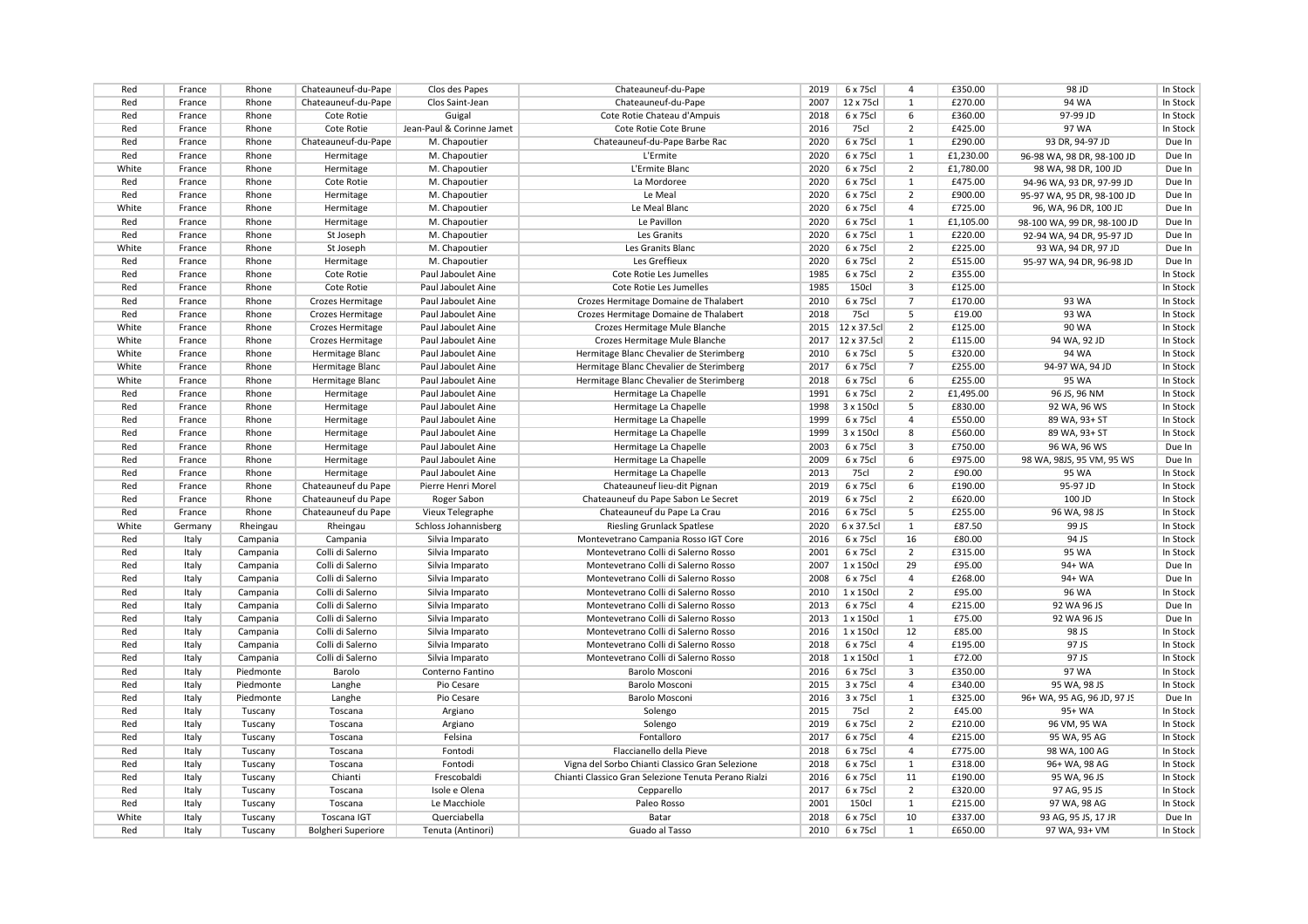| Red        | France         | Rhone                | Chateauneuf-du-Pape       | Clos des Papes                     | Chateauneuf-du-Pape                                                        | 2019 | 6 x 75cl              | $\overline{4}$ | £350.00   | 98 JD                       | In Stock |
|------------|----------------|----------------------|---------------------------|------------------------------------|----------------------------------------------------------------------------|------|-----------------------|----------------|-----------|-----------------------------|----------|
| Red        | France         | Rhone                | Chateauneuf-du-Pape       | Clos Saint-Jean                    | Chateauneuf-du-Pape                                                        | 2007 | 12 x 75cl             | $\mathbf{1}$   | £270.00   | 94 WA                       | In Stock |
| Red        | France         | Rhone                | Cote Rotie                | Guigal                             | Cote Rotie Chateau d'Ampuis                                                | 2018 | 6 x 75cl              | 6              | £360.00   | 97-99 JD                    | In Stock |
| Red        | France         | Rhone                | Cote Rotie                | Jean-Paul & Corinne Jamet          | Cote Rotie Cote Brune                                                      | 2016 | 75cl                  | $\overline{2}$ | £425.00   | 97 WA                       | In Stock |
| Red        | France         | Rhone                | Chateauneuf-du-Pape       | M. Chapoutier                      | Chateauneuf-du-Pape Barbe Rac                                              | 2020 | 6 x 75cl              | $\mathbf{1}$   | £290.00   | 93 DR, 94-97 JD             | Due In   |
| Red        | France         | Rhone                | Hermitage                 | M. Chapoutier                      | L'Ermite                                                                   | 2020 | 6 x 75cl              | $\mathbf{1}$   | £1,230.00 | 96-98 WA, 98 DR, 98-100 JD  | Due In   |
| White      | France         | Rhone                | Hermitage                 | M. Chapoutier                      | L'Ermite Blanc                                                             | 2020 | 6 x 75cl              | 2              | £1,780.00 | 98 WA, 98 DR, 100 JD        | Due In   |
| Red        | France         | Rhone                | Cote Rotie                | M. Chapoutier                      | La Mordoree                                                                | 2020 | 6 x 75cl              | $\mathbf{1}$   | £475.00   | 94-96 WA, 93 DR, 97-99 JD   | Due In   |
| Red        | France         | Rhone                | Hermitage                 | M. Chapoutier                      | Le Meal                                                                    | 2020 | 6 x 75cl              | $\overline{2}$ | £900.00   | 95-97 WA, 95 DR, 98-100 JD  | Due In   |
| White      | France         | Rhone                | Hermitage                 | M. Chapoutier                      | Le Meal Blanc                                                              | 2020 | 6 x 75cl              | $\overline{a}$ | £725.00   | 96, WA, 96 DR, 100 JD       | Due In   |
| Red        | France         | Rhone                | Hermitage                 | M. Chapoutier                      | Le Pavillon                                                                | 2020 | 6 x 75cl              | $\mathbf{1}$   | £1,105.00 | 98-100 WA, 99 DR, 98-100 JD | Due In   |
| Red        | France         | Rhone                | St Joseph                 | M. Chapoutier                      | Les Granits                                                                | 2020 | 6 x 75cl              | $\mathbf{1}$   | £220.00   | 92-94 WA, 94 DR, 95-97 JD   | Due In   |
| White      | France         | Rhone                | St Joseph                 | M. Chapoutier                      | Les Granits Blanc                                                          | 2020 | 6 x 75cl              | $\overline{2}$ | £225.00   | 93 WA, 94 DR, 97 JD         | Due In   |
| Red        | France         | Rhone                | Hermitage                 | M. Chapoutier                      | Les Greffieux                                                              | 2020 | 6 x 75cl              | $\overline{2}$ | £515.00   | 95-97 WA, 94 DR, 96-98 JD   | Due In   |
| Red        | France         | Rhone                | Cote Rotie                | Paul Jaboulet Aine                 | Cote Rotie Les Jumelles                                                    | 1985 | 6 x 75cl              | $\overline{2}$ | £355.00   |                             | In Stock |
| Red        | France         | Rhone                | Cote Rotie                | Paul Jaboulet Aine                 | Cote Rotie Les Jumelles                                                    | 1985 | <b>150cl</b>          | 3              | £125.00   |                             | In Stock |
| Red        | France         | Rhone                | Crozes Hermitage          | Paul Jaboulet Aine                 | Crozes Hermitage Domaine de Thalabert                                      | 2010 | 6 x 75cl              | $\overline{7}$ | £170.00   | 93 WA                       | In Stock |
| Red        | France         | Rhone                | Crozes Hermitage          | Paul Jaboulet Aine                 | Crozes Hermitage Domaine de Thalabert                                      | 2018 | 75cl                  | 5              | £19.00    | 93 WA                       | In Stock |
| White      | France         | Rhone                | Crozes Hermitage          | Paul Jaboulet Aine                 | Crozes Hermitage Mule Blanche                                              | 2015 | 12 x 37.5cl           | 2              | £125.00   | 90 WA                       | In Stock |
| White      | France         | Rhone                | Crozes Hermitage          | Paul Jaboulet Aine                 | Crozes Hermitage Mule Blanche                                              | 2017 | 12 x 37.5cl           | 2              | £115.00   | 94 WA, 92 JD                | In Stock |
| White      | France         | Rhone                | Hermitage Blanc           | Paul Jaboulet Aine                 | Hermitage Blanc Chevalier de Sterimberg                                    | 2010 | 6 x 75cl              | 5              | £320.00   | 94 WA                       | In Stock |
| White      | France         | Rhone                | Hermitage Blanc           | Paul Jaboulet Aine                 | Hermitage Blanc Chevalier de Sterimberg                                    | 2017 | 6 x 75cl              | $\overline{7}$ | £255.00   | 94-97 WA, 94 JD             | In Stock |
| White      | France         | Rhone                | Hermitage Blanc           | Paul Jaboulet Aine                 | Hermitage Blanc Chevalier de Sterimberg                                    | 2018 | 6 x 75cl              | 6              | £255.00   | 95 WA                       | In Stock |
| Red        | France         | Rhone                | Hermitage                 | Paul Jaboulet Aine                 | Hermitage La Chapelle                                                      | 1991 | 6 x 75cl              | $\overline{2}$ | £1,495.00 | 96 JS, 96 NM                | In Stock |
| Red        | France         | Rhone                | Hermitage                 | Paul Jaboulet Aine                 | Hermitage La Chapelle                                                      | 1998 | 3 x 150cl             | .5             | £830.00   | 92 WA, 96 WS                | In Stock |
| Red        | France         | Rhone                | Hermitage                 | Paul Jaboulet Aine                 | Hermitage La Chapelle                                                      | 1999 | 6 x 75cl              | $\overline{4}$ | £550.00   | 89 WA, 93+ ST               | In Stock |
| Red        | France         | Rhone                | Hermitage                 | Paul Jaboulet Aine                 | Hermitage La Chapelle                                                      | 1999 | 3 x 150cl             | $\overline{8}$ | £560.00   | 89 WA, 93+ ST               | In Stock |
| Red        | France         | Rhone                | Hermitage                 | Paul Jaboulet Aine                 | Hermitage La Chapelle                                                      | 2003 | 6 x 75cl              | 3              | £750.00   | 96 WA. 96 WS                | Due In   |
| Red        | France         | Rhone                | Hermitage                 | Paul Jaboulet Aine                 | Hermitage La Chapelle                                                      | 2009 | 6 x 75cl              | 6              | £975.00   | 98 WA, 98JS, 95 VM, 95 WS   | Due In   |
| Red        | France         | Rhone                | Hermitage                 | Paul Jaboulet Aine                 | Hermitage La Chapelle                                                      | 2013 | 75cl                  | $\overline{2}$ | £90.00    | 95 WA                       | In Stock |
| Red        | France         | Rhone                | Chateauneuf du Pape       | Pierre Henri Morel                 | Chateauneuf lieu-dit Pignan                                                | 2019 | 6 x 75cl              | 6              | £190.00   | 95-97 JD                    | In Stock |
| Red        | France         | Rhone                | Chateauneuf du Pape       | Roger Sabon                        | Chateauneuf du Pape Sabon Le Secret                                        | 2019 | 6 x 75cl              | $\overline{2}$ | £620.00   | 100 JD                      | In Stock |
| Red        | France         | Rhone                | Chateauneuf du Pape       | Vieux Telegraphe                   | Chateauneuf du Pape La Crau                                                | 2016 | 6 x 75cl              | 5              | £255.00   | 96 WA, 98 JS                | In Stock |
| White      | Germany        | Rheingau             | Rheingau                  | Schloss Johannisberg               | <b>Riesling Grunlack Spatlese</b>                                          | 2020 | 6 x 37.5cl            | $\mathbf{1}$   | £87.50    | 99 JS                       | In Stock |
| Red        | Italy          | Campania             | Campania                  | Silvia Imparato                    | Montevetrano Campania Rosso IGT Core                                       | 2016 | 6 x 75cl              | 16             | £80.00    | 94 JS                       | In Stock |
| Red        | Italy          | Campania             | Colli di Salerno          | Silvia Imparato                    | Montevetrano Colli di Salerno Rosso                                        | 2001 | 6 x 75cl              | $\overline{2}$ | £315.00   | 95 WA                       | In Stock |
| Red        | Italy          | Campania             | Colli di Salerno          | Silvia Imparato                    | Montevetrano Colli di Salerno Rosso                                        | 2007 | 1 x 150cl             | 29             | £95.00    | 94+ WA                      | Due In   |
| Red        |                |                      | Colli di Salerno          |                                    | Montevetrano Colli di Salerno Rosso                                        | 2008 |                       | $\overline{4}$ | £268.00   | 94+ WA                      | Due In   |
|            | Italy          | Campania             | Colli di Salerno          | Silvia Imparato                    |                                                                            | 2010 | 6 x 75cl<br>1 x 150cl | $\overline{2}$ | £95.00    | <b>96 WA</b>                | In Stock |
| Red<br>Red | Italy<br>Italy | Campania<br>Campania | Colli di Salerno          | Silvia Imparato<br>Silvia Imparato | Montevetrano Colli di Salerno Rosso<br>Montevetrano Colli di Salerno Rosso | 2013 | 6 x 75cl              | $\overline{a}$ | £215.00   | 92 WA 96 JS                 | Due In   |
| Red        | Italy          | Campania             | Colli di Salerno          | Silvia Imparato                    | Montevetrano Colli di Salerno Rosso                                        | 2013 | 1 x 150cl             | $\mathbf{1}$   | £75.00    | 92 WA 96 JS                 | Due In   |
| Red        | Italy          | Campania             | Colli di Salerno          | Silvia Imparato                    | Montevetrano Colli di Salerno Rosso                                        | 2016 | 1 x 150cl             | 12             | £85.00    | 98 JS                       | In Stock |
|            |                |                      |                           |                                    |                                                                            |      |                       | $\overline{4}$ |           | 97 JS                       |          |
| Red        | Italy          | Campania             | Colli di Salerno          | Silvia Imparato                    | Montevetrano Colli di Salerno Rosso                                        | 2018 | 6 x 75cl              | 1              | £195.00   | 97 JS                       | In Stock |
| Red        | Italy          | Campania             | Colli di Salerno          | Silvia Imparato                    | Montevetrano Colli di Salerno Rosso                                        | 2018 | 1 x 150cl             | 3              | £72.00    | 97 WA                       | In Stock |
| Red        | Italy          | Piedmonte            | Barolo                    | Conterno Fantino                   | Barolo Mosconi                                                             | 2016 | 6 x 75cl              | $\overline{a}$ | £350.00   |                             | In Stock |
| Red        | Italy          | Piedmonte            | Langhe                    | Pio Cesare                         | <b>Barolo Mosconi</b>                                                      | 2015 | 3 x 75cl              |                | £340.00   | 95 WA, 98 JS                | In Stock |
| Red        | Italy          | Piedmonte            | Langhe                    | Pio Cesare                         | <b>Barolo Mosconi</b>                                                      | 2016 | 3 x 75cl              | $\mathbf{1}$   | £325.00   | 96+ WA, 95 AG, 96 JD, 97 JS | Due In   |
| Red        | Italy          | Tuscany              | Toscana                   | Argiano                            | Solengo                                                                    | 2015 | 75cl                  | $\overline{2}$ | £45.00    | 95+ WA                      | In Stock |
| Red        | Italy          | Tuscany              | Toscana                   | Argiano                            | Solengo                                                                    | 2019 | 6 x 75cl              | $\overline{2}$ | £210.00   | 96 VM, 95 WA                | In Stock |
| Red        | Italy          | Tuscany              | Toscana                   | Felsina                            | Fontalloro                                                                 | 2017 | 6 x 75cl              | $\overline{4}$ | £215.00   | 95 WA, 95 AG                | In Stock |
| Red        | Italy          | Tuscany              | Toscana                   | Fontodi                            | Flaccianello della Pieve                                                   | 2018 | 6 x 75cl              | $\overline{a}$ | £775.00   | 98 WA, 100 AG               | In Stock |
| Red        | Italy          | Tuscany              | Toscana                   | Fontodi                            | Vigna del Sorbo Chianti Classico Gran Selezione                            | 2018 | 6 x 75cl              | $\mathbf{1}$   | £318.00   | 96+ WA, 98 AG               | In Stock |
| Red        | Italy          | Tuscany              | Chianti                   | Frescobaldi                        | Chianti Classico Gran Selezione Tenuta Perano Rialzi                       | 2016 | 6 x 75cl              | 11             | £190.00   | 95 WA, 96 JS                | In Stock |
| Red        | Italy          | Tuscany              | Toscana                   | Isole e Olena                      | Cepparello                                                                 | 2017 | 6 x 75cl              | $\overline{2}$ | £320.00   | 97 AG, 95 JS                | In Stock |
| Red        | Italy          | Tuscany              | Toscana                   | Le Macchiole                       | Paleo Rosso                                                                | 2001 | 150cl                 | $\mathbf{1}$   | £215.00   | 97 WA, 98 AG                | In Stock |
| White      | Italy          | Tuscany              | <b>Toscana IGT</b>        | Querciabella                       | Batar                                                                      | 2018 | 6 x 75cl              | 10             | £337.00   | 93 AG, 95 JS, 17 JR         | Due In   |
| Red        | Italy          | Tuscany              | <b>Bolgheri Superiore</b> | Tenuta (Antinori)                  | Guado al Tasso                                                             | 2010 | 6 x 75cl              | $\mathbf{1}$   | £650.00   | 97 WA, 93+ VM               | In Stock |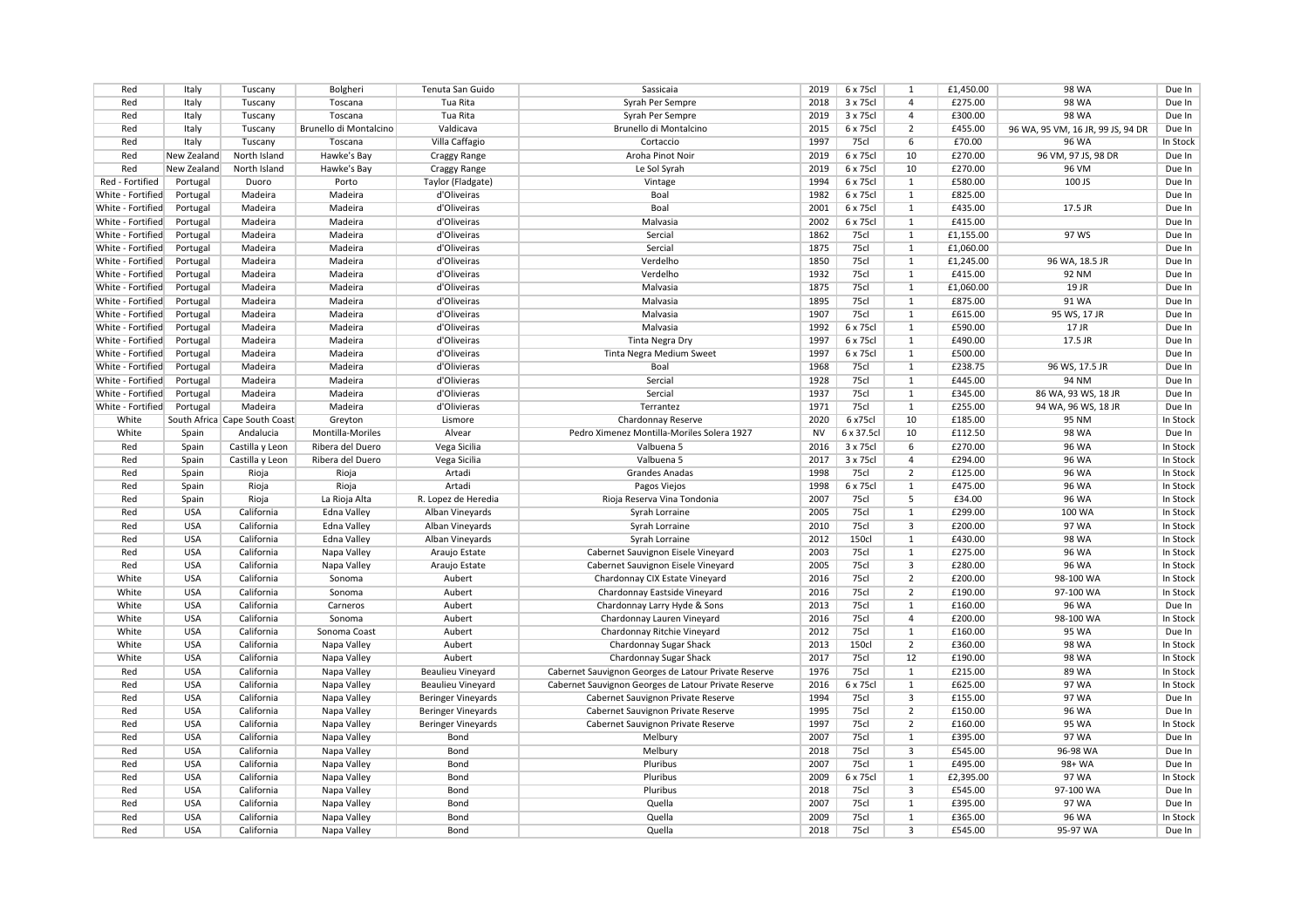| Red               | Italy       | Tuscany                       | Bolgheri               | Tenuta San Guido          | Sassicaia                                            | 2019      | 6 x 75cl              | 1              | £1,450.00          | 98 WA                             | Due In   |
|-------------------|-------------|-------------------------------|------------------------|---------------------------|------------------------------------------------------|-----------|-----------------------|----------------|--------------------|-----------------------------------|----------|
| Red               | Italy       | Tuscany                       | Toscana                | Tua Rita                  | Syrah Per Sempre                                     | 2018      | 3 x 75cl              | $\overline{4}$ | £275.00            | 98 WA                             | Due In   |
| Red               | Italy       | Tuscany                       | Toscana                | Tua Rita                  | Syrah Per Sempre                                     | 2019      | 3 x 75cl              | $\overline{a}$ | £300.00            | <b>98 WA</b>                      | Due In   |
| Red               | Italy       | Tuscany                       | Brunello di Montalcino | Valdicava                 | Brunello di Montalcino                               | 2015      | 6 x 75cl              | $\overline{2}$ | £455.00            | 96 WA, 95 VM, 16 JR, 99 JS, 94 DR | Due In   |
| Red               | Italy       | Tuscany                       | Toscana                | Villa Caffagio            | Cortaccio                                            | 1997      | 75cl                  | 6              | £70.00             | 96 WA                             | In Stock |
| Red               | New Zealand | North Island                  | Hawke's Bay            | Craggy Range              | Aroha Pinot Noir                                     | 2019      | 6 x 75cl              | 10             | £270.00            | 96 VM, 97 JS, 98 DR               | Due In   |
| Red               | New Zealand | North Island                  | Hawke's Bay            | <b>Craggy Range</b>       | Le Sol Syrah                                         | 2019      | 6 x 75cl              | 10             | £270.00            | 96 VM                             | Due In   |
| Red - Fortified   | Portugal    | Duoro                         | Porto                  | Taylor (Fladgate)         | Vintage                                              | 1994      | 6 x 75cl              | $\mathbf{1}$   | £580.00            | 100 JS                            | Due In   |
| White - Fortified | Portugal    | Madeira                       | Madeira                | d'Oliveiras               | Boal                                                 | 1982      | 6 x 75cl              | 1              | £825.00            |                                   | Due In   |
| White - Fortified | Portugal    | Madeira                       | Madeira                | d'Oliveiras               | Boal                                                 | 2001      | 6 x 75cl              | 1              | £435.00            | 17.5 JR                           | Due In   |
| White - Fortified | Portugal    | Madeira                       | Madeira                | d'Oliveiras               | Malvasia                                             | 2002      | 6 x 75cl              | $\mathbf{1}$   | £415.00            |                                   | Due In   |
| White - Fortified | Portugal    | Madeira                       | Madeira                | d'Oliveiras               | Sercial                                              | 1862      | 75cl                  | 1              | £1,155.00          | 97 WS                             | Due In   |
| White - Fortified | Portugal    | Madeira                       | Madeira                | d'Oliveiras               | Sercial                                              | 1875      | 75cl                  | 1              | £1,060.00          |                                   | Due In   |
| White - Fortified | Portugal    | Madeira                       | Madeira                | d'Oliveiras               | Verdelho                                             | 1850      | 75cl                  | 1              | £1,245.00          | 96 WA, 18.5 JR                    | Due In   |
| White - Fortified | Portugal    | Madeira                       | Madeira                | d'Oliveiras               | Verdelho                                             | 1932      | 75cl                  | $\mathbf{1}$   | £415.00            | <b>92 NM</b>                      | Due In   |
| White - Fortified | Portugal    | Madeira                       | Madeira                | d'Oliveiras               | Malvasia                                             | 1875      | 75cl                  | $\mathbf{1}$   | £1,060.00          | 19 JR                             | Due In   |
| White - Fortified | Portugal    | Madeira                       | Madeira                | d'Oliveiras               | Malvasia                                             | 1895      | 75cl                  | 1              | £875.00            | 91 WA                             | Due In   |
| White - Fortified | Portugal    | Madeira                       | Madeira                | d'Oliveiras               | Malvasia                                             | 1907      | 75cl                  | 1              | £615.00            | 95 WS, 17 JR                      | Due In   |
| White - Fortified | Portugal    | Madeira                       | Madeira                | d'Oliveiras               | Malvasia                                             | 1992      | 6 x 75cl              | $\mathbf{1}$   | £590.00            | $17$ JR                           | Due In   |
| White - Fortified | Portugal    | Madeira                       | Madeira                | d'Oliveiras               | Tinta Negra Dry                                      | 1997      | 6 x 75cl              | $\mathbf{1}$   | £490.00            | 17.5 JR                           | Due In   |
| White - Fortified | Portugal    | Madeira                       | Madeira                | d'Oliveiras               | Tinta Negra Medium Sweet                             | 1997      | 6 x 75cl              | 1              | £500.00            |                                   | Due In   |
| White - Fortified | Portugal    | Madeira                       | Madeira                | d'Olivieras               | Boal                                                 | 1968      | 75cl                  | 1              | £238.75            | 96 WS, 17.5 JR                    | Due In   |
| White - Fortified | Portugal    | Madeira                       | Madeira                | d'Olivieras               | Sercial                                              | 1928      | <b>75cl</b>           | $\mathbf{1}$   | £445.00            | <b>94 NM</b>                      | Due In   |
| White - Fortified | Portugal    | Madeira                       | Madeira                | d'Olivieras               | Sercial                                              | 1937      | 75cl                  | $\mathbf{1}$   | £345.00            | 86 WA, 93 WS, 18 JR               | Due In   |
| White - Fortified | Portugal    | Madeira                       | Madeira                | d'Olivieras               | Terrantez                                            | 1971      | 75cl                  | 1              | £255.00            | 94 WA, 96 WS, 18 JR               | Due In   |
|                   |             |                               |                        |                           |                                                      | 2020      |                       | 10             |                    |                                   |          |
| White             |             | South Africa Cape South Coast | Greyton                | Lismore                   | Chardonnay Reserve                                   | <b>NV</b> | 6 x75cl<br>6 x 37.5cl | 10             | £185.00<br>£112.50 | 95 NM<br><b>98 WA</b>             | In Stock |
| White             | Spain       | Andalucia                     | Montilla-Moriles       | Alvear                    | Pedro Ximenez Montilla-Moriles Solera 1927           |           |                       |                |                    |                                   | Due In   |
| Red               | Spain       | Castilla y Leon               | Ribera del Duero       | Vega Sicilia              | Valbuena 5                                           | 2016      | 3 x 75cl              | 6              | £270.00            | <b>96 WA</b>                      | In Stock |
| Red               | Spain       | Castilla y Leon               | Ribera del Duero       | Vega Sicilia              | Valbuena 5                                           | 2017      | 3 x 75cl              | $\overline{4}$ | £294.00            | 96 WA                             | In Stock |
| Red               | Spain       | Rioja                         | Rioja                  | Artadi                    | <b>Grandes Anadas</b>                                | 1998      | 75cl                  | $\overline{2}$ | £125.00            | 96 WA                             | In Stock |
| Red               | Spain       | Rioja                         | Rioja                  | Artadi                    | Pagos Viejos                                         | 1998      | 6 x 75cl              | $\mathbf{1}$   | £475.00            | 96 WA                             | In Stock |
| Red               | Spain       | Rioja                         | La Rioja Alta          | R. Lopez de Heredia       | Rioja Reserva Vina Tondonia                          | 2007      | 75cl                  | 5              | £34.00             | <b>96 WA</b>                      | In Stock |
| Red               | <b>USA</b>  | California                    | <b>Edna Valley</b>     | Alban Vineyards           | Syrah Lorraine                                       | 2005      | 75cl                  | 1              | £299.00            | 100 WA                            | In Stock |
| Red               | <b>USA</b>  | California                    | Edna Valley            | Alban Vineyards           | Syrah Lorraine                                       | 2010      | 75cl                  | 3              | £200.00            | 97 WA                             | In Stock |
| Red               | <b>USA</b>  | California                    | Edna Valley            | Alban Vineyards           | Syrah Lorraine                                       | 2012      | <b>150cl</b>          | $\mathbf{1}$   | £430.00            | 98 WA                             | In Stock |
| Red               | <b>USA</b>  | California                    | Napa Valley            | Araujo Estate             | Cabernet Sauvignon Eisele Vineyard                   | 2003      | 75cl                  | $\mathbf{1}$   | £275.00            | 96 WA                             | In Stock |
| Red               | <b>USA</b>  | California                    | Napa Valley            | Araujo Estate             | Cabernet Sauvignon Eisele Vineyard                   | 2005      | 75cl                  | $\overline{3}$ | £280.00            | 96 WA                             | In Stock |
| White             | <b>USA</b>  | California                    | Sonoma                 | Aubert                    | Chardonnay CIX Estate Vineyard                       | 2016      | 75cl                  | $\overline{2}$ | £200.00            | 98-100 WA                         | In Stock |
| White             | <b>USA</b>  | California                    | Sonoma                 | Aubert                    | Chardonnay Eastside Vineyard                         | 2016      | <b>75cl</b>           | $\overline{2}$ | £190.00            | 97-100 WA                         | In Stock |
| White             | <b>USA</b>  | California                    | Carneros               | Aubert                    | Chardonnay Larry Hyde & Sons                         | 2013      | 75cl                  | $\mathbf{1}$   | £160.00            | 96 WA                             | Due In   |
| White             | <b>USA</b>  | California                    | Sonoma                 | Aubert                    | Chardonnay Lauren Vineyard                           | 2016      | 75cl                  | $\overline{4}$ | £200.00            | 98-100 WA                         | In Stock |
| White             | <b>USA</b>  | California                    | Sonoma Coast           | Aubert                    | Chardonnay Ritchie Vineyard                          | 2012      | 75cl                  | $\mathbf{1}$   | £160.00            | 95 WA                             | Due In   |
| White             | <b>USA</b>  | California                    | Napa Valley            | Aubert                    | Chardonnay Sugar Shack                               | 2013      | <b>150cl</b>          | $\overline{2}$ | £360.00            | <b>98 WA</b>                      | In Stock |
| White             | <b>USA</b>  | California                    | Napa Valley            | Aubert                    | Chardonnay Sugar Shack                               | 2017      | <b>75cl</b>           | 12             | £190.00            | 98 WA                             | In Stock |
| Red               | <b>USA</b>  | California                    | Napa Valley            | <b>Beaulieu Vineyard</b>  | Cabernet Sauvignon Georges de Latour Private Reserve | 1976      | 75cl                  | 1              | £215.00            | 89 WA                             | In Stock |
| Red               | <b>USA</b>  | California                    | Napa Valley            | Beaulieu Vineyard         | Cabernet Sauvignon Georges de Latour Private Reserve | 2016      | 6 x 75cl              | $\mathbf{1}$   | £625.00            | 97 WA                             | In Stock |
| Red               | <b>USA</b>  | California                    | Napa Valley            | <b>Beringer Vineyards</b> | Cabernet Sauvignon Private Reserve                   | 1994      | 75cl                  | 3              | £155.00            | 97 WA                             | Due In   |
| Red               | <b>USA</b>  | California                    | Napa Valley            | <b>Beringer Vineyards</b> | Cabernet Sauvignon Private Reserve                   | 1995      | 75cl                  | $\overline{2}$ | £150.00            | 96 WA                             | Due In   |
| Red               | <b>USA</b>  | California                    | Napa Valley            | <b>Beringer Vineyards</b> | Cabernet Sauvignon Private Reserve                   | 1997      | 75cl                  | $\overline{2}$ | £160.00            | 95 WA                             | In Stock |
| Red               | <b>USA</b>  | California                    | Napa Valley            | Bond                      | Melbury                                              | 2007      | 75cl                  | 1              | £395.00            | 97 WA                             | Due In   |
| Red               | <b>USA</b>  | California                    | Napa Valley            | Bond                      | Melbury                                              | 2018      | 75cl                  | 3              | £545.00            | 96-98 WA                          | Due In   |
| Red               | <b>USA</b>  | California                    | Napa Valley            | Bond                      | Pluribus                                             | 2007      | 75cl                  | $\mathbf{1}$   | £495.00            | 98+ WA                            | Due In   |
| Red               | <b>USA</b>  | California                    | Napa Valley            | Bond                      | Pluribus                                             | 2009      | 6 x 75cl              | 1              | £2,395.00          | 97 WA                             | In Stock |
| Red               | <b>USA</b>  | California                    | Napa Valley            | Bond                      | Pluribus                                             | 2018      | 75cl                  | 3              | £545.00            | 97-100 WA                         | Due In   |
| Red               | <b>USA</b>  | California                    | Napa Valley            | Bond                      | Quella                                               | 2007      | 75cl                  | $\mathbf{1}$   | £395.00            | 97 WA                             | Due In   |
| Red               | <b>USA</b>  | California                    | Napa Valley            | Bond                      | Quella                                               | 2009      | 75cl                  | $\mathbf{1}$   | £365.00            | 96 WA                             | In Stock |
| Red               | <b>USA</b>  | California                    | Napa Valley            | Bond                      | Quella                                               | 2018      | 75cl                  | 3              | £545.00            | 95-97 WA                          | Due In   |
|                   |             |                               |                        |                           |                                                      |           |                       |                |                    |                                   |          |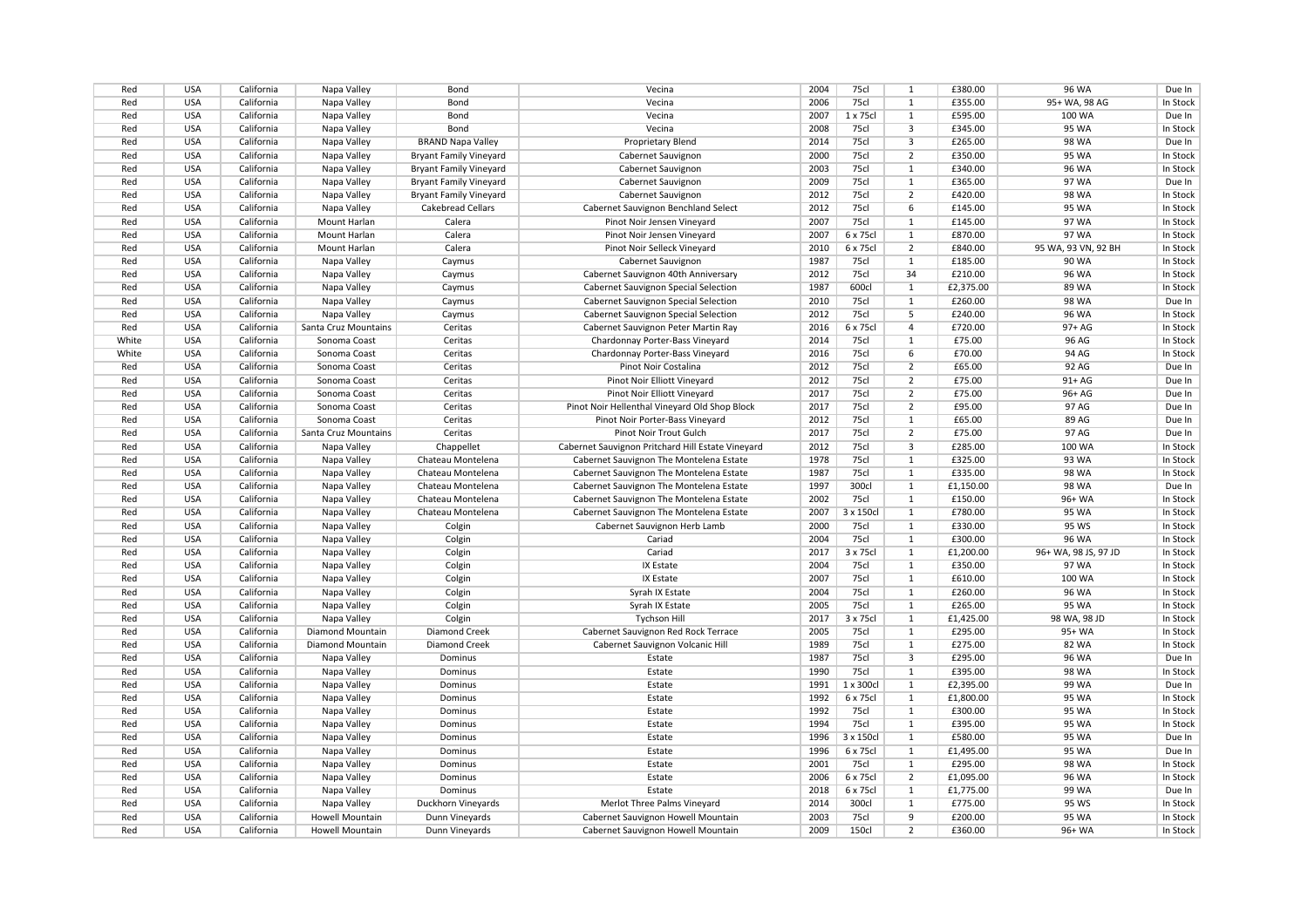| Red   | <b>USA</b> | California | Napa Valley          | Bond                          | Vecina                                            | 2004 | 75cl         | 1              | £380.00   | 96 WA                | Due In   |
|-------|------------|------------|----------------------|-------------------------------|---------------------------------------------------|------|--------------|----------------|-----------|----------------------|----------|
| Red   | <b>USA</b> | California | Napa Valley          | Bond                          | Vecina                                            | 2006 | 75cl         | 1              | £355.00   | 95+ WA, 98 AG        | In Stock |
| Red   | <b>USA</b> | California | Napa Valley          | Bond                          | Vecina                                            | 2007 | 1 x 75cl     | 1              | £595.00   | 100 WA               | Due In   |
| Red   | <b>USA</b> | California | Napa Valley          | Bond                          | Vecina                                            | 2008 | 75cl         | 3              | £345.00   | 95 WA                | In Stock |
| Red   | <b>USA</b> | California | Napa Valley          | <b>BRAND Napa Valley</b>      | <b>Proprietary Blend</b>                          | 2014 | 75cl         | $\overline{3}$ | £265.00   | 98 WA                | Due In   |
| Red   | <b>USA</b> | California | Napa Valley          | <b>Bryant Family Vineyard</b> | Cabernet Sauvignon                                | 2000 | 75cl         | $\overline{2}$ | £350.00   | 95 WA                | In Stock |
| Red   | <b>USA</b> | California | Napa Valley          | <b>Bryant Family Vineyard</b> | Cabernet Sauvignon                                | 2003 | 75cl         | $\mathbf{1}$   | £340.00   | 96 WA                | In Stock |
| Red   | <b>USA</b> | California | Napa Valley          | <b>Bryant Family Vineyard</b> | Cabernet Sauvignon                                | 2009 | 75cl         | 1              | £365.00   | 97 WA                | Due In   |
| Red   | <b>USA</b> | California | Napa Valley          | <b>Bryant Family Vineyard</b> | Cabernet Sauvignon                                | 2012 | 75cl         | $\overline{2}$ | £420.00   | 98 WA                | In Stock |
| Red   | <b>USA</b> | California | Napa Valley          | <b>Cakebread Cellars</b>      | Cabernet Sauvignon Benchland Select               | 2012 | 75cl         | 6              | £145.00   | 95 WA                | In Stock |
| Red   | <b>USA</b> | California | Mount Harlan         | Calera                        | Pinot Noir Jensen Vineyard                        | 2007 | 75cl         | $\mathbf{1}$   | £145.00   | 97 WA                | In Stock |
| Red   | <b>USA</b> | California | Mount Harlan         | Calera                        | Pinot Noir Jensen Vineyard                        | 2007 | 6 x 75cl     | $\mathbf{1}$   | £870.00   | 97 WA                | In Stock |
| Red   | <b>USA</b> | California | Mount Harlan         | Calera                        | Pinot Noir Selleck Vineyard                       | 2010 | 6 x 75cl     | $\overline{2}$ | £840.00   | 95 WA, 93 VN, 92 BH  | In Stock |
| Red   | <b>USA</b> | California | Napa Valley          | Caymus                        | Cabernet Sauvignon                                | 1987 | 75cl         | 1              | £185.00   | 90 WA                | In Stock |
| Red   | <b>USA</b> | California | Napa Valley          | Caymus                        | Cabernet Sauvignon 40th Anniversary               | 2012 | 75cl         | 34             | £210.00   | <b>96 WA</b>         | In Stock |
| Red   | <b>USA</b> | California | Napa Valley          | Caymus                        | Cabernet Sauvignon Special Selection              | 1987 | 600cl        | 1              | £2,375.00 | 89 WA                | In Stock |
| Red   | <b>USA</b> | California | Napa Valley          | Caymus                        | Cabernet Sauvignon Special Selection              | 2010 | 75cl         | 1              | £260.00   | <b>98 WA</b>         | Due In   |
| Red   | <b>USA</b> | California | Napa Valley          | Caymus                        | Cabernet Sauvignon Special Selection              | 2012 | 75cl         | 5              | £240.00   | 96 WA                | In Stock |
| Red   | <b>USA</b> | California | Santa Cruz Mountains | Ceritas                       | Cabernet Sauvignon Peter Martin Ray               | 2016 | 6 x 75cl     | $\overline{4}$ | £720.00   | 97+ AG               | In Stock |
| White | <b>USA</b> | California | Sonoma Coast         | Ceritas                       | Chardonnay Porter-Bass Vineyard                   | 2014 | 75cl         | $\mathbf{1}$   | £75.00    | 96 AG                | In Stock |
| White | <b>USA</b> | California | Sonoma Coast         | Ceritas                       | Chardonnay Porter-Bass Vineyard                   | 2016 | 75cl         | 6              | £70.00    | 94 AG                | In Stock |
| Red   | <b>USA</b> | California | Sonoma Coast         | Ceritas                       | Pinot Noir Costalina                              | 2012 | 75cl         | $\overline{2}$ | £65.00    | 92 AG                | Due In   |
| Red   | <b>USA</b> | California | Sonoma Coast         | Ceritas                       | Pinot Noir Elliott Vineyard                       | 2012 | 75cl         | $\overline{2}$ | £75.00    | 91+ AG               | Due In   |
| Red   | <b>USA</b> | California | Sonoma Coast         | Ceritas                       | Pinot Noir Elliott Vineyard                       | 2017 | 75cl         | 2              | £75.00    | 96+ AG               | Due In   |
| Red   | <b>USA</b> | California | Sonoma Coast         | Ceritas                       | Pinot Noir Hellenthal Vineyard Old Shop Block     | 2017 | <b>75cl</b>  | $\overline{2}$ | £95.00    | 97 AG                | Due In   |
| Red   | <b>USA</b> | California | Sonoma Coast         | Ceritas                       | Pinot Noir Porter-Bass Vineyard                   | 2012 | 75cl         | $\mathbf{1}$   | £65.00    | 89 AG                | Due In   |
|       | <b>USA</b> | California |                      | Ceritas                       | Pinot Noir Trout Gulch                            | 2017 | 75cl         | $\overline{2}$ | £75.00    | 97 AG                |          |
| Red   |            |            | Santa Cruz Mountains |                               |                                                   |      |              |                |           |                      | Due In   |
| Red   | <b>USA</b> | California | Napa Valley          | Chappellet                    | Cabernet Sauvignon Pritchard Hill Estate Vineyard | 2012 | 75cl         | 3              | £285.00   | 100 WA               | In Stock |
| Red   | <b>USA</b> | California | Napa Valley          | Chateau Montelena             | Cabernet Sauvignon The Montelena Estate           | 1978 | 75cl         | $\mathbf{1}$   | £325.00   | 93 WA                | In Stock |
| Red   | <b>USA</b> | California | Napa Valley          | Chateau Montelena             | Cabernet Sauvignon The Montelena Estate           | 1987 | 75cl         | 1              | £335.00   | 98 WA                | In Stock |
| Red   | <b>USA</b> | California | Napa Valley          | Chateau Montelena             | Cabernet Sauvignon The Montelena Estate           | 1997 | 300cl        | 1              | £1,150.00 | 98 WA                | Due In   |
| Red   | <b>USA</b> | California | Napa Valley          | Chateau Montelena             | Cabernet Sauvignon The Montelena Estate           | 2002 | 75cl         | $\mathbf{1}$   | £150.00   | 96+ WA               | In Stock |
| Red   | <b>USA</b> | California | Napa Valley          | Chateau Montelena             | Cabernet Sauvignon The Montelena Estate           | 2007 | 3 x 150cl    | $\mathbf{1}$   | £780.00   | 95 WA                | In Stock |
| Red   | <b>USA</b> | California | Napa Valley          | Colgin                        | Cabernet Sauvignon Herb Lamb                      | 2000 | 75cl         | 1              | £330.00   | 95 WS                | In Stock |
| Red   | <b>USA</b> | California | Napa Valley          | Colgin                        | Cariad                                            | 2004 | 75cl         | $\mathbf{1}$   | £300.00   | 96 WA                | In Stock |
| Red   | <b>USA</b> | California | Napa Valley          | Colgin                        | Cariad                                            | 2017 | 3 x 75cl     | $\mathbf{1}$   | £1,200.00 | 96+ WA, 98 JS, 97 JD | In Stock |
| Red   | <b>USA</b> | California | Napa Valley          | Colgin                        | IX Estate                                         | 2004 | 75cl         | $\mathbf{1}$   | £350.00   | 97 WA                | In Stock |
| Red   | <b>USA</b> | California | Napa Valley          | Colgin                        | IX Estate                                         | 2007 | 75cl         | 1              | £610.00   | 100 WA               | In Stock |
| Red   | <b>USA</b> | California | Napa Valley          | Colgin                        | Syrah IX Estate                                   | 2004 | 75cl         | 1              | £260.00   | 96 WA                | In Stock |
| Red   | <b>USA</b> | California | Napa Valley          | Colgin                        | Syrah IX Estate                                   | 2005 | 75cl         | $\mathbf{1}$   | £265.00   | 95 WA                | In Stock |
| Red   | <b>USA</b> | California | Napa Valley          | Colgin                        | <b>Tychson Hill</b>                               | 2017 | 3 x 75cl     | 1              | £1,425.00 | 98 WA, 98 JD         | In Stock |
| Red   | <b>USA</b> | California | Diamond Mountain     | Diamond Creek                 | Cabernet Sauvignon Red Rock Terrace               | 2005 | 75cl         | 1              | £295.00   | 95+ WA               | In Stock |
| Red   | <b>USA</b> | California | Diamond Mountain     | Diamond Creek                 | Cabernet Sauvignon Volcanic Hill                  | 1989 | 75cl         | 1              | £275.00   | 82 WA                | In Stock |
| Red   | <b>USA</b> | California | Napa Valley          | Dominus                       | Estate                                            | 1987 | 75c          | 3              | £295.00   | 96 WA                | Due In   |
| Red   | <b>USA</b> | California | Napa Valley          | Dominus                       | Estate                                            | 1990 | 75cl         | 1              | £395.00   | 98 WA                | In Stock |
| Red   | <b>USA</b> | California | Napa Valley          | Dominus                       | Estate                                            | 1991 | 1 x 300cl    | $\mathbf{1}$   | £2,395.00 | 99 WA                | Due In   |
| Red   | <b>USA</b> | California | Napa Valley          | Dominus                       | Estate                                            | 1992 | 6 x 75cl     | 1              | £1,800.00 | 95 WA                | In Stock |
| Red   | <b>USA</b> | California | Napa Valley          | Dominus                       | Estate                                            | 1992 | 75cl         | $\mathbf{1}$   | £300.00   | 95 WA                | In Stock |
| Red   | <b>USA</b> | California | Napa Valley          | Dominus                       | Estate                                            | 1994 | 75cl         | 1              | £395.00   | 95 WA                | In Stock |
| Red   | <b>USA</b> | California | Napa Valley          | Dominus                       | Estate                                            | 1996 | 3 x 150cl    | 1              | £580.00   | 95 WA                | Due In   |
| Red   | <b>USA</b> | California | Napa Valley          | Dominus                       | Estate                                            | 1996 | 6 x 75cl     | 1              | £1,495.00 | 95 WA                | Due In   |
| Red   | <b>USA</b> | California | Napa Valley          | Dominus                       | Estate                                            | 2001 | 75cl         | $\mathbf{1}$   | £295.00   | 98 WA                | In Stock |
| Red   | <b>USA</b> | California | Napa Valley          | Dominus                       | Estate                                            | 2006 | 6 x 75cl     | $\overline{2}$ | £1,095.00 | 96 WA                | In Stock |
| Red   | <b>USA</b> | California | Napa Valley          | Dominus                       | Estate                                            | 2018 | 6 x 75cl     | 1              | £1,775.00 | 99 WA                | Due In   |
| Red   | <b>USA</b> | California | Napa Valley          | Duckhorn Vineyards            | Merlot Three Palms Vineyard                       | 2014 | 300cl        | $\mathbf{1}$   | £775.00   | 95 WS                | In Stock |
| Red   | <b>USA</b> | California | Howell Mountain      | Dunn Vineyards                | Cabernet Sauvignon Howell Mountain                | 2003 | 75cl         | 9              | £200.00   | 95 WA                | In Stock |
| Red   | <b>USA</b> | California | Howell Mountain      | Dunn Vineyards                | Cabernet Sauvignon Howell Mountain                | 2009 | <b>150cl</b> | $\overline{2}$ | £360.00   | 96+ WA               | In Stock |
|       |            |            |                      |                               |                                                   |      |              |                |           |                      |          |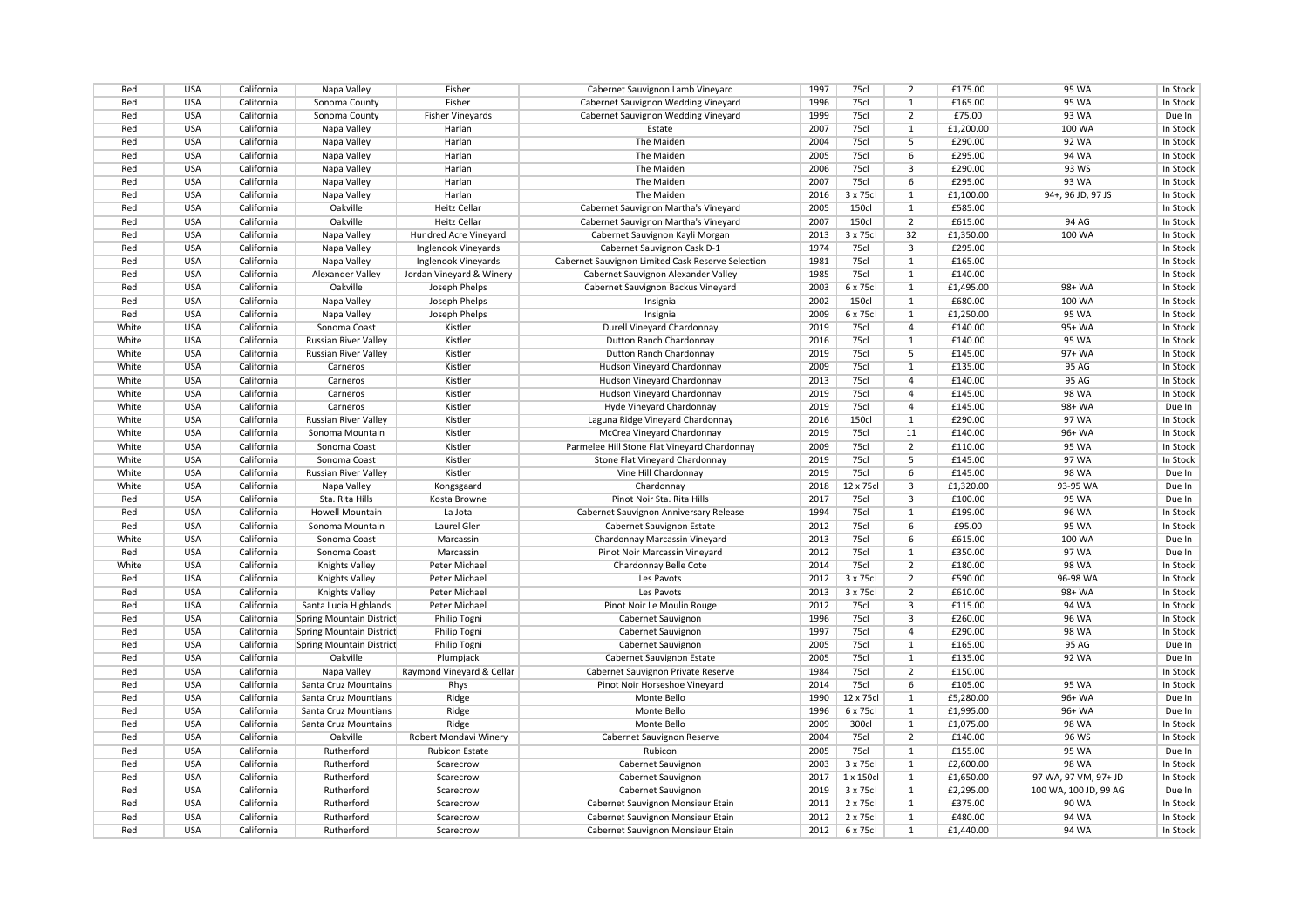| Red        | <b>USA</b>               | California               | Napa Valley                                    | Fisher                    | Cabernet Sauvignon Lamb Vineyard                                | 1997         | 75cl         | 2               | £175.00            | 95 WA                 | In Stock           |
|------------|--------------------------|--------------------------|------------------------------------------------|---------------------------|-----------------------------------------------------------------|--------------|--------------|-----------------|--------------------|-----------------------|--------------------|
| Red        | <b>USA</b>               | California               | Sonoma County                                  | Fisher                    | Cabernet Sauvignon Wedding Vineyard                             | 1996         | 75cl         | 1               | £165.00            | 95 WA                 | In Stock           |
| Red        | <b>USA</b>               | California               | Sonoma County                                  | <b>Fisher Vineyards</b>   | Cabernet Sauvignon Wedding Vineyard                             | 1999         | 75cl         | $\overline{2}$  | £75.00             | 93 WA                 | Due In             |
| Red        | <b>USA</b>               | California               | Napa Valley                                    | Harlan                    | Estate                                                          | 2007         | 75cl         | $\mathbf{1}$    | £1,200.00          | 100 WA                | In Stock           |
| Red        | <b>USA</b>               | California               | Napa Valley                                    | Harlan                    | The Maiden                                                      | 2004         | 75cl         | 5               | £290.00            | 92 WA                 | In Stock           |
| Red        | <b>USA</b>               | California               | Napa Valley                                    | Harlan                    | The Maiden                                                      | 2005         | 75cl         | 6               | £295.00            | 94 WA                 | In Stock           |
| Red        | <b>USA</b>               | California               | Napa Valley                                    | Harlan                    | The Maiden                                                      | 2006         | 75cl         | 3               | £290.00            | 93 WS                 | In Stock           |
| Red        | <b>USA</b>               | California               | Napa Valley                                    | Harlan                    | The Maiden                                                      | 2007         | 75cl         | 6               | £295.00            | 93 WA                 | In Stock           |
| Red        | <b>USA</b>               | California               | Napa Valley                                    | Harlan                    | The Maiden                                                      | 2016         | 3 x 75cl     | 1               | £1,100.00          | 94+, 96 JD, 97 JS     | In Stock           |
| Red        | <b>USA</b>               | California               | Oakville                                       | <b>Heitz Cellar</b>       | Cabernet Sauvignon Martha's Vineyard                            | 2005         | <b>150cl</b> | $\mathbf{1}$    | £585.00            |                       | In Stock           |
| Red        | <b>USA</b>               | California               | Oakville                                       | <b>Heitz Cellar</b>       | Cabernet Sauvignon Martha's Vineyard                            | 2007         | 150cl        | $\overline{2}$  | £615.00            | 94 AG                 | In Stock           |
| Red        | <b>USA</b>               | California               | Napa Valley                                    | Hundred Acre Vineyard     | Cabernet Sauvignon Kayli Morgan                                 | 2013         | 3 x 75cl     | 32              | £1,350.00          | 100 WA                | In Stock           |
| Red        | <b>USA</b>               | California               | Napa Valley                                    | Inglenook Vineyards       | Cabernet Sauvignon Cask D-1                                     | 1974         | 75cl         | $\overline{3}$  | £295.00            |                       | In Stock           |
| Red        | <b>USA</b>               | California               | Napa Valley                                    | Inglenook Vineyards       | Cabernet Sauvignon Limited Cask Reserve Selection               | 1981         | 75cl         | $\overline{1}$  | £165.00            |                       | In Stock           |
| Red        | <b>USA</b>               | California               | Alexander Valley                               | Jordan Vineyard & Winery  | Cabernet Sauvignon Alexander Valley                             | 1985         | 75cl         | 1               | £140.00            |                       | In Stock           |
| Red        | <b>USA</b>               | California               | Oakville                                       | Joseph Phelps             | Cabernet Sauvignon Backus Vineyard                              | 2003         | 6 x 75cl     | 1               | £1,495.00          | 98+ WA                | In Stock           |
| Red        | <b>USA</b>               | California               | Napa Valley                                    | Joseph Phelps             | Insignia                                                        | 2002         | 150cl        | $\mathbf{1}$    | £680.00            | 100 WA                | In Stock           |
| Red        | <b>USA</b>               | California               | Napa Valley                                    | Joseph Phelps             | Insignia                                                        | 2009         | 6 x 75cl     | 1               | £1,250.00          | 95 WA                 | In Stock           |
| White      | <b>USA</b>               | California               | Sonoma Coast                                   | Kistler                   | Durell Vineyard Chardonnay                                      | 2019         | 75cl         | $\overline{4}$  | £140.00            | 95+ WA                | In Stock           |
| White      | <b>USA</b>               | California               | Russian River Valley                           | Kistler                   | Dutton Ranch Chardonnay                                         | 2016         | 75cl         | 1               | £140.00            | 95 WA                 | In Stock           |
| White      | <b>USA</b>               | California               | Russian River Valley                           | Kistler                   | Dutton Ranch Chardonnay                                         | 2019         | 75cl         | 5               | £145.00            | 97+ WA                | In Stock           |
| White      | <b>USA</b>               | California               | Carneros                                       | Kistler                   | Hudson Vineyard Chardonnay                                      | 2009         | 75cl         | $\mathbf{1}$    | £135.00            | 95 AG                 | In Stock           |
| White      | <b>USA</b>               | California               | Carneros                                       | Kistler                   | Hudson Vineyard Chardonnay                                      | 2013         | 75cl         | 4               | £140.00            | 95 AG                 | In Stock           |
| White      | <b>USA</b>               | California               | Carneros                                       | Kistler                   | Hudson Vineyard Chardonnay                                      | 2019         | 75cl         | 4               | £145.00            | 98 WA                 | In Stock           |
| White      | <b>USA</b>               | California               | Carneros                                       | Kistler                   | Hyde Vineyard Chardonnay                                        | 2019         | 75cl         | 4               | £145.00            | 98+ WA                | Due In             |
| White      | <b>USA</b>               | California               | <b>Russian River Valley</b>                    | Kistler                   | Laguna Ridge Vineyard Chardonnay                                | 2016         | <b>150cl</b> | $\mathbf{1}$    | £290.00            | 97 WA                 | In Stock           |
| White      | <b>USA</b>               | California               | Sonoma Mountain                                | Kistler                   | McCrea Vineyard Chardonnay                                      | 2019         | 75cl         | 11              | £140.00            | 96+ WA                | In Stock           |
| White      | <b>USA</b>               | California               | Sonoma Coast                                   | Kistler                   | Parmelee Hill Stone Flat Vineyard Chardonnay                    | 2009         | 75cl         | $\overline{2}$  | £110.00            | 95 WA                 | In Stock           |
| White      | <b>USA</b>               | California               | Sonoma Coast                                   | Kistler                   | Stone Flat Vineyard Chardonnay                                  | 2019         | 75cl         | 5               | £145.00            | 97 WA                 | In Stock           |
| White      | <b>USA</b>               | California               | Russian River Valley                           | Kistler                   | Vine Hill Chardonnay                                            | 2019         | 75cl         | $6\overline{6}$ | £145.00            | 98 WA                 | Due In             |
| White      | <b>USA</b>               | California               | Napa Valley                                    | Kongsgaard                | Chardonnay                                                      | 2018         | 12 x 75cl    | 3               | £1,320.00          | 93-95 WA              | Due In             |
| Red        | <b>USA</b>               | California               | Sta. Rita Hills                                | Kosta Browne              | Pinot Noir Sta. Rita Hills                                      | 2017         | 75cl         | 3               | £100.00            | 95 WA                 | Due In             |
| Red        | <b>USA</b>               | California               | Howell Mountain                                | La Jota                   | Cabernet Sauvignon Anniversary Release                          | 1994         | 75cl         | 1               | £199.00            | 96 WA                 | In Stock           |
| Red        | <b>USA</b>               | California               | Sonoma Mountain                                | Laurel Glen               | Cabernet Sauvignon Estate                                       | 2012         | 75cl         | 6               | £95.00             | 95 WA                 | In Stock           |
| White      | <b>USA</b>               | California               | Sonoma Coast                                   | Marcassin                 | Chardonnay Marcassin Vineyard                                   | 2013         | 75cl         | 6               | £615.00            | 100 WA                | Due In             |
| Red        | <b>USA</b>               | California               | Sonoma Coast                                   | Marcassin                 | Pinot Noir Marcassin Vineyard                                   | 2012         | 75cl         | $\mathbf{1}$    | £350.00            | 97 WA                 | Due In             |
| White      | <b>USA</b>               | California               | Knights Valley                                 | Peter Michael             | Chardonnay Belle Cote                                           | 2014         | 75cl         | $\overline{2}$  | £180.00            | 98 WA                 | In Stock           |
| Red        | <b>USA</b>               | California               | Knights Valley                                 | Peter Michael             | Les Pavots                                                      | 2012         | 3 x 75cl     | $\overline{2}$  | £590.00            | 96-98 WA              | In Stock           |
|            | <b>USA</b>               |                          |                                                | Peter Michael             |                                                                 | 2013         | 3 x 75cl     | 2               | £610.00            | 98+ WA                | In Stock           |
| Red<br>Red | <b>USA</b>               | California<br>California | <b>Knights Valley</b><br>Santa Lucia Highlands | Peter Michael             | Les Pavots<br>Pinot Noir Le Moulin Rouge                        | 2012         | 75cl         | $\overline{3}$  | £115.00            | 94 WA                 | In Stock           |
| Red        | <b>USA</b>               | California               | Spring Mountain District                       | Philip Togni              | Cabernet Sauvignon                                              | 1996         | 75cl         | 3               | £260.00            | 96 WA                 | In Stock           |
| Red        | <b>USA</b>               | California               | Spring Mountain District                       | Philip Togni              |                                                                 | 1997         | 75cl         | 4               | £290.00            | 98 WA                 | In Stock           |
|            |                          |                          |                                                |                           | Cabernet Sauvignon                                              |              | 75cl         |                 |                    |                       |                    |
| Red        | <b>USA</b><br><b>USA</b> | California               | Spring Mountain District                       | Philip Togni              | Cabernet Sauvignon                                              | 2005<br>2005 | 75cl         | 1<br>1          | £165.00            | 95 AG<br>92 WA        | Due In             |
| Red<br>Red | <b>USA</b>               | California<br>California | Oakville                                       | Plumpjack                 | Cabernet Sauvignon Estate<br>Cabernet Sauvignon Private Reserve | 1984         | 75cl         | $\overline{2}$  | £135.00<br>£150.00 |                       | Due In<br>In Stock |
|            |                          |                          | Napa Valley                                    | Raymond Vineyard & Cellar |                                                                 |              |              | 6               |                    |                       |                    |
| Red        | <b>USA</b>               | California               | Santa Cruz Mountains                           | Rhys                      | Pinot Noir Horseshoe Vineyard                                   | 2014         | 75cl         |                 | £105.00            | 95 WA                 | In Stock           |
| Red        | <b>USA</b>               | California               | Santa Cruz Mountians                           | Ridge                     | Monte Bello                                                     | 1990         | 12 x 75cl    | 1               | £5,280.00          | 96+ WA                | Due In             |
| Red        | <b>USA</b>               | California               | Santa Cruz Mountians                           | Ridge                     | Monte Bello                                                     | 1996         | 6 x 75cl     | 1               | £1,995.00          | 96+ WA                | Due In             |
| Red        | <b>USA</b>               | California               | Santa Cruz Mountains                           | Ridge                     | Monte Bello                                                     | 2009         | 300cl        | $\mathbf{1}$    | £1,075.00          | 98 WA                 | In Stock           |
| Red        | <b>USA</b>               | California               | Oakville                                       | Robert Mondavi Winery     | Cabernet Sauvignon Reserve                                      | 2004         | 75cl         | $\overline{2}$  | £140.00            | 96 WS                 | In Stock           |
| Red        | <b>USA</b>               | California               | Rutherford                                     | <b>Rubicon Estate</b>     | Rubicon                                                         | 2005         | 75cl         | 1               | £155.00            | 95 WA                 | Due In             |
| Red        | <b>USA</b>               | California               | Rutherford                                     | Scarecrow                 | Cabernet Sauvignon                                              | 2003         | 3 x 75cl     | 1               | £2,600.00          | 98 WA                 | In Stock           |
| Red        | <b>USA</b>               | California               | Rutherford                                     | Scarecrow                 | Cabernet Sauvignon                                              | 2017         | 1 x 150cl    | $\mathbf{1}$    | £1,650.00          | 97 WA, 97 VM, 97+ JD  | In Stock           |
| Red        | <b>USA</b>               | California               | Rutherford                                     | Scarecrow                 | Cabernet Sauvignon                                              | 2019         | 3 x 75cl     | $\mathbf{1}$    | £2,295.00          | 100 WA, 100 JD, 99 AG | Due In             |
| Red        | <b>USA</b>               | California               | Rutherford                                     | Scarecrow                 | Cabernet Sauvignon Monsieur Etain                               | 2011         | 2 x 75cl     | $\mathbf{1}$    | £375.00            | 90 WA                 | In Stock           |
| Red        | <b>USA</b>               | California               | Rutherford                                     | Scarecrow                 | Cabernet Sauvignon Monsieur Etain                               | 2012         | 2 x 75cl     | $\mathbf{1}$    | £480.00            | 94 WA                 | In Stock           |
| Red        | <b>USA</b>               | California               | Rutherford                                     | Scarecrow                 | Cabernet Sauvignon Monsieur Etain                               | 2012         | 6 x 75cl     | 1               | £1,440.00          | 94 WA                 | In Stock           |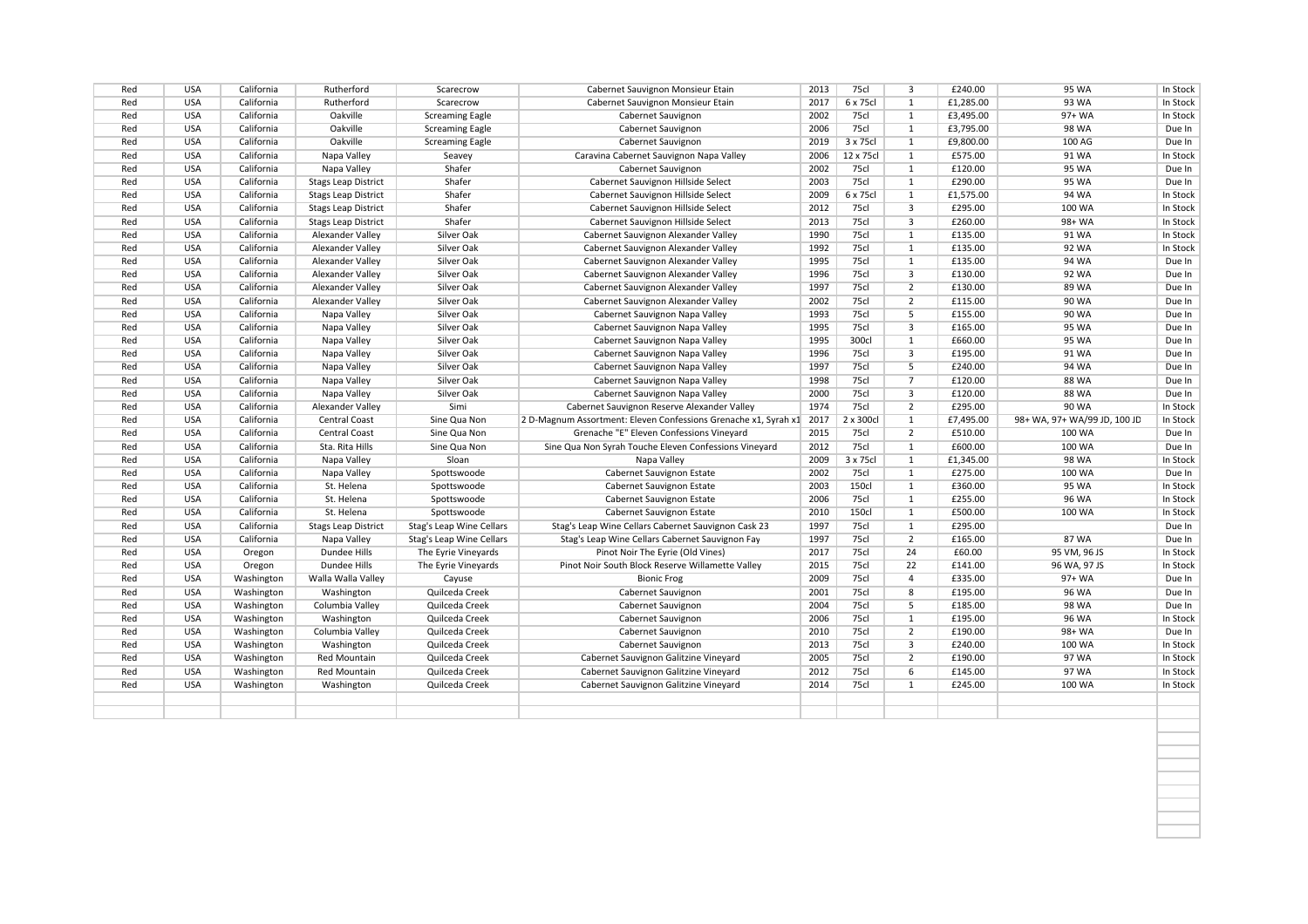| Red | <b>USA</b> | California | Rutherford                 | Scarecrow                | Cabernet Sauvignon Monsieur Etain                                    | 2013 | 75cl         | 3              | £240.00   | 95 WA                        | In Stock |
|-----|------------|------------|----------------------------|--------------------------|----------------------------------------------------------------------|------|--------------|----------------|-----------|------------------------------|----------|
| Red | <b>USA</b> | California | Rutherford                 | Scarecrow                | Cabernet Sauvignon Monsieur Etain                                    | 2017 | 6 x 75cl     | 1              | £1,285.00 | 93 WA                        | In Stock |
| Red | <b>USA</b> | California | Oakville                   | <b>Screaming Eagle</b>   | Cabernet Sauvignon                                                   | 2002 | 75cl         | 1              | £3,495.00 | 97+ WA                       | In Stock |
| Red | <b>USA</b> | California | Oakville                   | <b>Screaming Eagle</b>   | Cabernet Sauvignon                                                   | 2006 | 75cl         | $\overline{1}$ | £3,795.00 | <b>98 WA</b>                 | Due In   |
| Red | <b>USA</b> | California | Oakville                   | <b>Screaming Eagle</b>   | Cabernet Sauvignon                                                   | 2019 | 3 x 75cl     | $\mathbf{1}$   | £9,800.00 | 100 AG                       | Due In   |
| Red | <b>USA</b> | California | Napa Valley                | Seavey                   | Caravina Cabernet Sauvignon Napa Valley                              | 2006 | 12 x 75cl    | 1              | £575.00   | 91 WA                        | In Stock |
| Red | <b>USA</b> | California | Napa Valley                | Shafer                   | Cabernet Sauvignon                                                   | 2002 | 75cl         | 1              | £120.00   | 95 WA                        | Due In   |
| Red | <b>USA</b> | California | <b>Stags Leap District</b> | Shafer                   | Cabernet Sauvignon Hillside Select                                   | 2003 | 75c          | 1              | £290.00   | 95 WA                        | Due In   |
| Red | <b>USA</b> | California | <b>Stags Leap District</b> | Shafer                   | Cabernet Sauvignon Hillside Select                                   | 2009 | 6 x 75cl     | $\mathbf{1}$   | £1,575.00 | 94 WA                        | In Stock |
| Red | <b>USA</b> | California | <b>Stags Leap District</b> | Shafer                   | Cabernet Sauvignon Hillside Select                                   | 2012 | 75cl         | $\overline{3}$ | £295.00   | 100 WA                       | In Stock |
| Red | <b>USA</b> | California | <b>Stags Leap District</b> | Shafer                   | Cabernet Sauvignon Hillside Select                                   | 2013 | 75cl         | $\overline{3}$ | £260.00   | 98+ WA                       | In Stock |
| Red | <b>USA</b> | California | Alexander Valley           | Silver Oak               | Cabernet Sauvignon Alexander Valley                                  | 1990 | 75cl         | $\mathbf{1}$   | £135.00   | 91 WA                        | In Stock |
| Red | <b>USA</b> | California | Alexander Valley           | Silver Oak               | Cabernet Sauvignon Alexander Valley                                  | 1992 | 75cl         | $\mathbf{1}$   | £135.00   | 92 WA                        | In Stock |
| Red | <b>USA</b> | California | Alexander Valley           | Silver Oak               | Cabernet Sauvignon Alexander Valley                                  | 1995 | 75cl         | $\overline{1}$ | £135.00   | 94 WA                        | Due In   |
| Red | <b>USA</b> | California | Alexander Valley           | Silver Oak               | Cabernet Sauvignon Alexander Valley                                  | 1996 | 75cl         | $\overline{3}$ | £130.00   | 92 WA                        | Due In   |
| Red | <b>USA</b> | California | Alexander Valley           | Silver Oak               | Cabernet Sauvignon Alexander Valley                                  | 1997 | 75cl         | $\overline{2}$ | £130.00   | 89 WA                        | Due In   |
| Red | <b>USA</b> | California | Alexander Valley           | Silver Oak               | Cabernet Sauvignon Alexander Valley                                  | 2002 | 75cl         | $\overline{2}$ | £115.00   | 90 WA                        | Due In   |
| Red | <b>USA</b> | California | Napa Valley                | Silver Oak               | Cabernet Sauvignon Napa Valley                                       | 1993 | 75cl         | 5              | £155.00   | 90 WA                        | Due In   |
| Red | <b>USA</b> | California | Napa Valley                | Silver Oak               | Cabernet Sauvignon Napa Valley                                       | 1995 | 75cl         | $\overline{3}$ | £165.00   | 95 WA                        | Due In   |
| Red | <b>USA</b> | California | Napa Valley                | Silver Oak               | Cabernet Sauvignon Napa Valley                                       | 1995 | 300cl        | $\mathbf{1}$   | £660.00   | 95 WA                        | Due In   |
| Red | <b>USA</b> | California | Napa Valley                | Silver Oak               | Cabernet Sauvignon Napa Valley                                       | 1996 | 75cl         | $\overline{3}$ | £195.00   | 91 WA                        | Due In   |
| Red | <b>USA</b> | California | Napa Valley                | Silver Oak               | Cabernet Sauvignon Napa Valley                                       | 1997 | 75cl         | 5              | £240.00   | 94 WA                        | Due In   |
| Red | <b>USA</b> | California | Napa Valley                | Silver Oak               | Cabernet Sauvignon Napa Valley                                       | 1998 | 75cl         | $\overline{7}$ | £120.00   | <b>88 WA</b>                 | Due In   |
| Red | <b>USA</b> | California | Napa Valley                | Silver Oak               | Cabernet Sauvignon Napa Valley                                       | 2000 | 75cl         | $\overline{3}$ | £120.00   | <b>88 WA</b>                 | Due In   |
| Red | <b>USA</b> | California | Alexander Valley           | Simi                     | Cabernet Sauvignon Reserve Alexander Valley                          | 1974 | 75cl         | $\overline{2}$ | £295.00   | 90 WA                        | In Stock |
| Red | <b>USA</b> | California | Central Coast              | Sine Qua Non             | 2 D-Magnum Assortment: Eleven Confessions Grenache x1, Syrah x1 2017 |      | 2 x 300cl    | 1              | £7,495.00 | 98+ WA, 97+ WA/99 JD, 100 JD | In Stock |
| Red | <b>USA</b> | California | <b>Central Coast</b>       | Sine Qua Non             | Grenache "E" Eleven Confessions Vineyard                             | 2015 | 75cl         | $\overline{2}$ | £510.00   | 100 WA                       | Due In   |
| Red | <b>USA</b> | California | Sta. Rita Hills            | Sine Qua Non             | Sine Qua Non Syrah Touche Eleven Confessions Vineyard                | 2012 | 75c          | $\mathbf{1}$   | £600.00   | 100 WA                       | Due In   |
| Red | <b>USA</b> | California | Napa Valley                | Sloan                    | Napa Valley                                                          | 2009 | 3 x 75cl     | $\overline{1}$ | £1,345.00 | <b>98 WA</b>                 | In Stock |
| Red | <b>USA</b> | California | Napa Valley                | Spottswoode              | Cabernet Sauvignon Estate                                            | 2002 | 75cl         | $\mathbf{1}$   | £275.00   | 100 WA                       | Due In   |
| Red | <b>USA</b> | California | St. Helena                 | Spottswoode              | Cabernet Sauvignon Estate                                            | 2003 | <b>150cl</b> | 1              | £360.00   | 95 WA                        | In Stock |
| Red | <b>USA</b> | California | St. Helena                 | Spottswoode              | Cabernet Sauvignon Estate                                            | 2006 | 75cl         | $\mathbf{1}$   | £255.00   | 96 WA                        | In Stock |
| Red | <b>USA</b> | California | St. Helena                 | Spottswoode              | Cabernet Sauvignon Estate                                            | 2010 | <b>150cl</b> | $\overline{1}$ | £500.00   | 100 WA                       | In Stock |
| Red | <b>USA</b> | California | <b>Stags Leap District</b> | Stag's Leap Wine Cellars | Stag's Leap Wine Cellars Cabernet Sauvignon Cask 23                  | 1997 | 75cl         | 1              | £295.00   |                              | Due In   |
| Red | <b>USA</b> | California | Napa Valley                | Stag's Leap Wine Cellars | Stag's Leap Wine Cellars Cabernet Sauvignon Fay                      | 1997 | 75cl         | $\overline{2}$ | £165.00   | 87 WA                        | Due In   |
| Red | <b>USA</b> | Oregon     | <b>Dundee Hills</b>        | The Eyrie Vineyards      | Pinot Noir The Eyrie (Old Vines)                                     | 2017 | 75cl         | 24             | £60.00    | 95 VM, 96 JS                 | In Stock |
| Red | <b>USA</b> | Oregon     | Dundee Hills               | The Eyrie Vineyards      | Pinot Noir South Block Reserve Willamette Valley                     | 2015 | 75cl         | 22             | £141.00   | 96 WA, 97 JS                 | In Stock |
| Red | <b>USA</b> | Washington | Walla Walla Valley         | Cayuse                   | <b>Bionic Frog</b>                                                   | 2009 | 75cl         | $\overline{4}$ | £335.00   | 97+ WA                       | Due In   |
| Red | <b>USA</b> | Washington | Washington                 | Quilceda Creek           | Cabernet Sauvignon                                                   | 2001 | 75cl         | 8              | £195.00   | 96 WA                        | Due In   |
| Red | <b>USA</b> | Washington | Columbia Valley            | Quilceda Creek           | Cabernet Sauvignon                                                   | 2004 | 75cl         | 5              | £185.00   | 98 WA                        | Due In   |
| Red | <b>USA</b> | Washington | Washington                 | Quilceda Creek           | Cabernet Sauvignon                                                   | 2006 | 75cl         | $\mathbf{1}$   | £195.00   | 96 WA                        | In Stock |
| Red | <b>USA</b> | Washington | Columbia Valley            | Quilceda Creek           | Cabernet Sauvignon                                                   | 2010 | 75cl         | $\overline{2}$ | £190.00   | 98+ WA                       | Due In   |
| Red | <b>USA</b> | Washington | Washington                 | Quilceda Creek           | Cabernet Sauvignon                                                   | 2013 | 75cl         | 3              | £240.00   | 100 WA                       | In Stock |
| Red | <b>USA</b> | Washington | Red Mountain               | Quilceda Creek           | Cabernet Sauvignon Galitzine Vineyard                                | 2005 | 75cl         | $\overline{2}$ | £190.00   | 97 WA                        | In Stock |
| Red | <b>USA</b> | Washington | Red Mountain               | Quilceda Creek           | Cabernet Sauvignon Galitzine Vineyard                                | 2012 | 75cl         | 6              | £145.00   | 97 WA                        | In Stock |
| Red | <b>USA</b> | Washington | Washington                 | Quilceda Creek           | Cabernet Sauvignon Galitzine Vineyard                                | 2014 | 75cl         | $\mathbf{1}$   | £245.00   | 100 WA                       | In Stock |
|     |            |            |                            |                          |                                                                      |      |              |                |           |                              |          |
|     |            |            |                            |                          |                                                                      |      |              |                |           |                              |          |